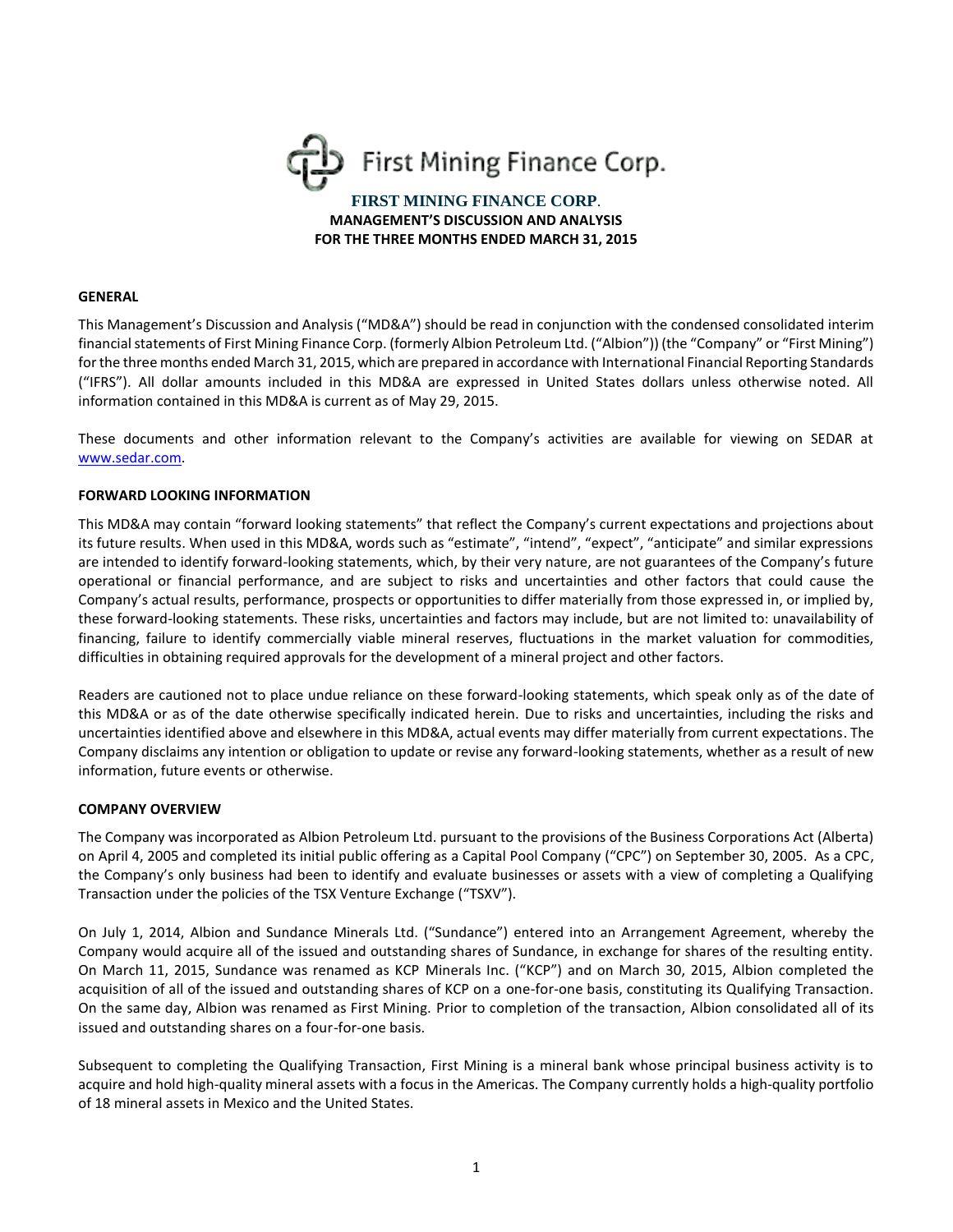

#### **GENERAL**

This Management's Discussion and Analysis ("MD&A") should be read in conjunction with the condensed consolidated interim financial statements of First Mining Finance Corp. (formerly Albion Petroleum Ltd. ("Albion")) (the "Company" or "First Mining") for the three months ended March 31, 2015, which are prepared in accordance with International Financial Reporting Standards ("IFRS"). All dollar amounts included in this MD&A are expressed in United States dollars unless otherwise noted. All information contained in this MD&A is current as of May 29, 2015.

These documents and other information relevant to the Company's activities are available for viewing on SEDAR at [www.sedar.com.](http://www.sedar.com/)

### **FORWARD LOOKING INFORMATION**

This MD&A may contain "forward looking statements" that reflect the Company's current expectations and projections about its future results. When used in this MD&A, words such as "estimate", "intend", "expect", "anticipate" and similar expressions are intended to identify forward-looking statements, which, by their very nature, are not guarantees of the Company's future operational or financial performance, and are subject to risks and uncertainties and other factors that could cause the Company's actual results, performance, prospects or opportunities to differ materially from those expressed in, or implied by, these forward-looking statements. These risks, uncertainties and factors may include, but are not limited to: unavailability of financing, failure to identify commercially viable mineral reserves, fluctuations in the market valuation for commodities, difficulties in obtaining required approvals for the development of a mineral project and other factors.

Readers are cautioned not to place undue reliance on these forward-looking statements, which speak only as of the date of this MD&A or as of the date otherwise specifically indicated herein. Due to risks and uncertainties, including the risks and uncertainties identified above and elsewhere in this MD&A, actual events may differ materially from current expectations. The Company disclaims any intention or obligation to update or revise any forward-looking statements, whether as a result of new information, future events or otherwise.

#### **COMPANY OVERVIEW**

The Company was incorporated as Albion Petroleum Ltd. pursuant to the provisions of the Business Corporations Act (Alberta) on April 4, 2005 and completed its initial public offering as a Capital Pool Company ("CPC") on September 30, 2005. As a CPC, the Company's only business had been to identify and evaluate businesses or assets with a view of completing a Qualifying Transaction under the policies of the TSX Venture Exchange ("TSXV").

On July 1, 2014, Albion and Sundance Minerals Ltd. ("Sundance") entered into an Arrangement Agreement, whereby the Company would acquire all of the issued and outstanding shares of Sundance, in exchange for shares of the resulting entity. On March 11, 2015, Sundance was renamed as KCP Minerals Inc. ("KCP") and on March 30, 2015, Albion completed the acquisition of all of the issued and outstanding shares of KCP on a one-for-one basis, constituting its Qualifying Transaction. On the same day, Albion was renamed as First Mining. Prior to completion of the transaction, Albion consolidated all of its issued and outstanding shares on a four-for-one basis.

Subsequent to completing the Qualifying Transaction, First Mining is a mineral bank whose principal business activity is to acquire and hold high-quality mineral assets with a focus in the Americas. The Company currently holds a high-quality portfolio of 18 mineral assets in Mexico and the United States.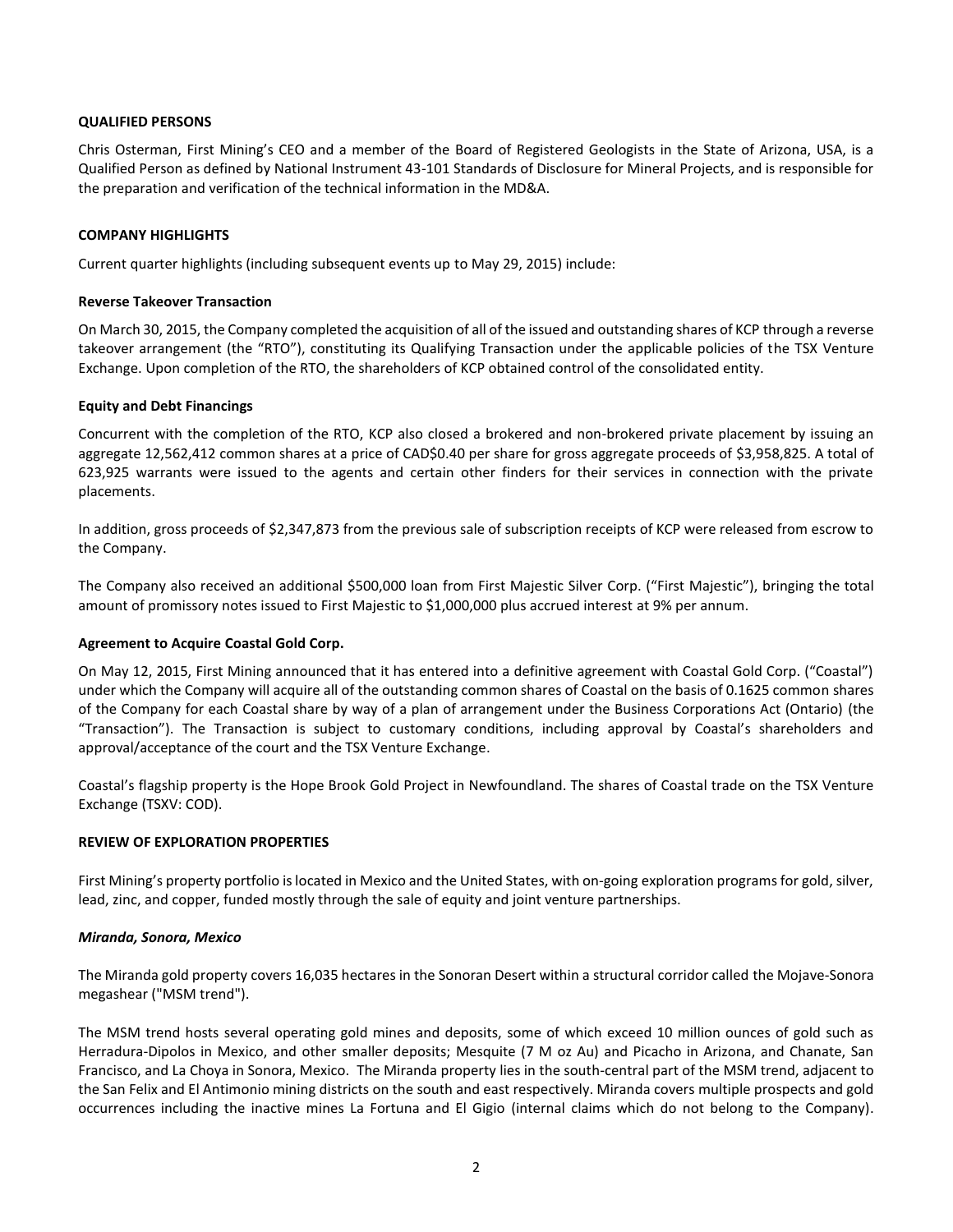### **QUALIFIED PERSONS**

Chris Osterman, First Mining's CEO and a member of the Board of Registered Geologists in the State of Arizona, USA, is a Qualified Person as defined by National Instrument 43-101 Standards of Disclosure for Mineral Projects, and is responsible for the preparation and verification of the technical information in the MD&A.

### **COMPANY HIGHLIGHTS**

Current quarter highlights (including subsequent events up to May 29, 2015) include:

### **Reverse Takeover Transaction**

On March 30, 2015, the Company completed the acquisition of all of the issued and outstanding shares of KCP through a reverse takeover arrangement (the "RTO"), constituting its Qualifying Transaction under the applicable policies of the TSX Venture Exchange. Upon completion of the RTO, the shareholders of KCP obtained control of the consolidated entity.

### **Equity and Debt Financings**

Concurrent with the completion of the RTO, KCP also closed a brokered and non-brokered private placement by issuing an aggregate 12,562,412 common shares at a price of CAD\$0.40 per share for gross aggregate proceeds of \$3,958,825. A total of 623,925 warrants were issued to the agents and certain other finders for their services in connection with the private placements.

In addition, gross proceeds of \$2,347,873 from the previous sale of subscription receipts of KCP were released from escrow to the Company.

The Company also received an additional \$500,000 loan from First Majestic Silver Corp. ("First Majestic"), bringing the total amount of promissory notes issued to First Majestic to \$1,000,000 plus accrued interest at 9% per annum.

#### **Agreement to Acquire Coastal Gold Corp.**

On May 12, 2015, First Mining announced that it has entered into a definitive agreement with Coastal Gold Corp. ("Coastal") under which the Company will acquire all of the outstanding common shares of Coastal on the basis of 0.1625 common shares of the Company for each Coastal share by way of a plan of arrangement under the Business Corporations Act (Ontario) (the "Transaction"). The Transaction is subject to customary conditions, including approval by Coastal's shareholders and approval/acceptance of the court and the TSX Venture Exchange.

Coastal's flagship property is the Hope Brook Gold Project in Newfoundland. The shares of Coastal trade on the TSX Venture Exchange (TSXV: COD).

## **REVIEW OF EXPLORATION PROPERTIES**

First Mining's property portfolio is located in Mexico and the United States, with on-going exploration programs for gold, silver, lead, zinc, and copper, funded mostly through the sale of equity and joint venture partnerships.

#### *Miranda, Sonora, Mexico*

The Miranda gold property covers 16,035 hectares in the Sonoran Desert within a structural corridor called the Mojave-Sonora megashear ("MSM trend").

The MSM trend hosts several operating gold mines and deposits, some of which exceed 10 million ounces of gold such as Herradura-Dipolos in Mexico, and other smaller deposits; Mesquite (7 M oz Au) and Picacho in Arizona, and Chanate, San Francisco, and La Choya in Sonora, Mexico. The Miranda property lies in the south-central part of the MSM trend, adjacent to the San Felix and El Antimonio mining districts on the south and east respectively. Miranda covers multiple prospects and gold occurrences including the inactive mines La Fortuna and El Gigio (internal claims which do not belong to the Company).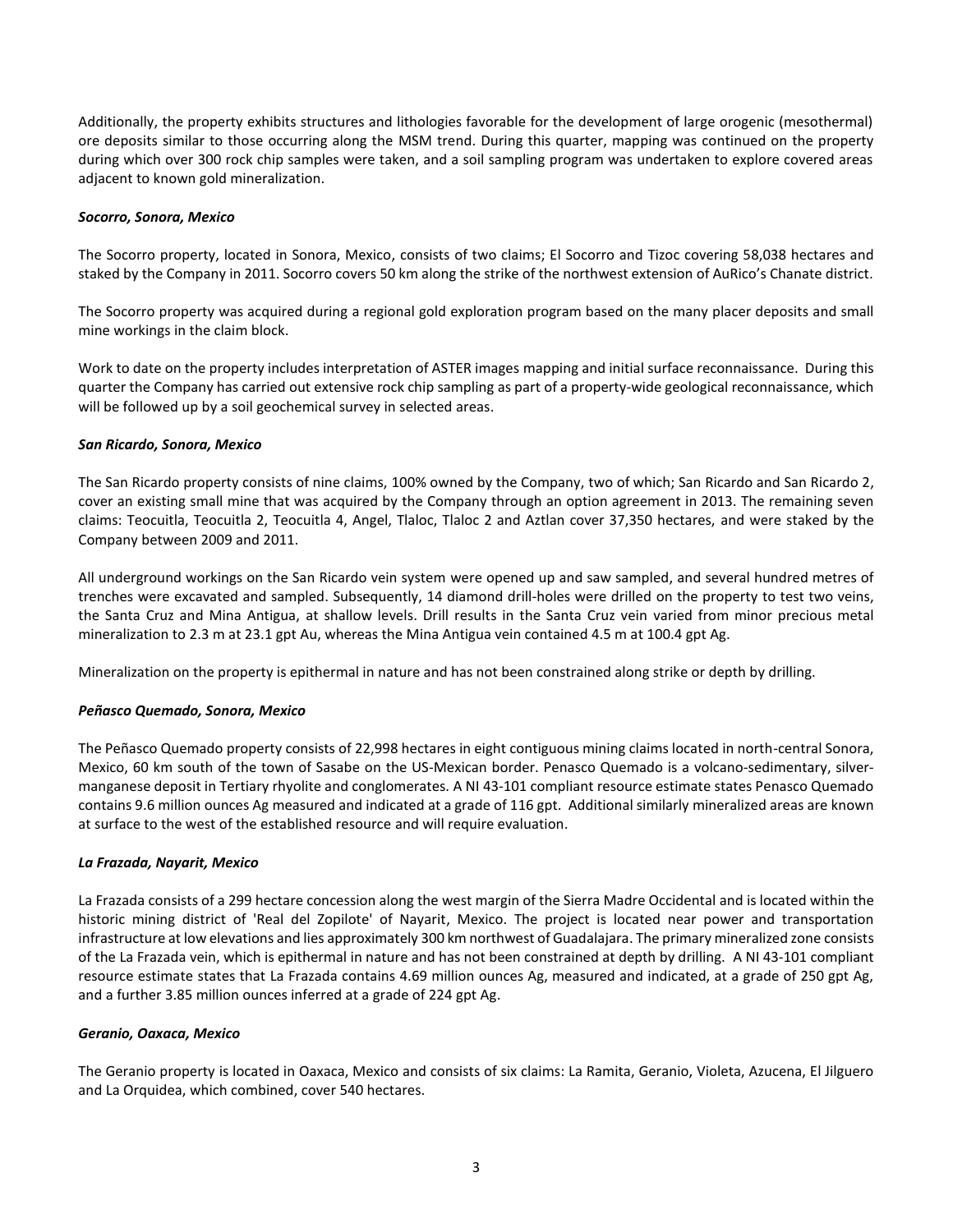Additionally, the property exhibits structures and lithologies favorable for the development of large orogenic (mesothermal) ore deposits similar to those occurring along the MSM trend. During this quarter, mapping was continued on the property during which over 300 rock chip samples were taken, and a soil sampling program was undertaken to explore covered areas adjacent to known gold mineralization.

### *Socorro, Sonora, Mexico*

The Socorro property, located in Sonora, Mexico, consists of two claims; El Socorro and Tizoc covering 58,038 hectares and staked by the Company in 2011. Socorro covers 50 km along the strike of the northwest extension of AuRico's Chanate district.

The Socorro property was acquired during a regional gold exploration program based on the many placer deposits and small mine workings in the claim block.

Work to date on the property includes interpretation of ASTER images mapping and initial surface reconnaissance. During this quarter the Company has carried out extensive rock chip sampling as part of a property-wide geological reconnaissance, which will be followed up by a soil geochemical survey in selected areas.

### *San Ricardo, Sonora, Mexico*

The San Ricardo property consists of nine claims, 100% owned by the Company, two of which; San Ricardo and San Ricardo 2, cover an existing small mine that was acquired by the Company through an option agreement in 2013. The remaining seven claims: Teocuitla, Teocuitla 2, Teocuitla 4, Angel, Tlaloc, Tlaloc 2 and Aztlan cover 37,350 hectares, and were staked by the Company between 2009 and 2011.

All underground workings on the San Ricardo vein system were opened up and saw sampled, and several hundred metres of trenches were excavated and sampled. Subsequently, 14 diamond drill-holes were drilled on the property to test two veins, the Santa Cruz and Mina Antigua, at shallow levels. Drill results in the Santa Cruz vein varied from minor precious metal mineralization to 2.3 m at 23.1 gpt Au, whereas the Mina Antigua vein contained 4.5 m at 100.4 gpt Ag.

Mineralization on the property is epithermal in nature and has not been constrained along strike or depth by drilling.

## *Peñasco Quemado, Sonora, Mexico*

The Peñasco Quemado property consists of 22,998 hectares in eight contiguous mining claims located in north-central Sonora, Mexico, 60 km south of the town of Sasabe on the US-Mexican border. Penasco Quemado is a volcano-sedimentary, silvermanganese deposit in Tertiary rhyolite and conglomerates. A NI 43-101 compliant resource estimate states Penasco Quemado contains 9.6 million ounces Ag measured and indicated at a grade of 116 gpt. Additional similarly mineralized areas are known at surface to the west of the established resource and will require evaluation.

#### *La Frazada, Nayarit, Mexico*

La Frazada consists of a 299 hectare concession along the west margin of the Sierra Madre Occidental and is located within the historic mining district of 'Real del Zopilote' of Nayarit, Mexico. The project is located near power and transportation infrastructure at low elevations and lies approximately 300 km northwest of Guadalajara. The primary mineralized zone consists of the La Frazada vein, which is epithermal in nature and has not been constrained at depth by drilling. A NI 43-101 compliant resource estimate states that La Frazada contains 4.69 million ounces Ag, measured and indicated, at a grade of 250 gpt Ag, and a further 3.85 million ounces inferred at a grade of 224 gpt Ag.

#### *Geranio, Oaxaca, Mexico*

The Geranio property is located in Oaxaca, Mexico and consists of six claims: La Ramita, Geranio, Violeta, Azucena, El Jilguero and La Orquidea, which combined, cover 540 hectares.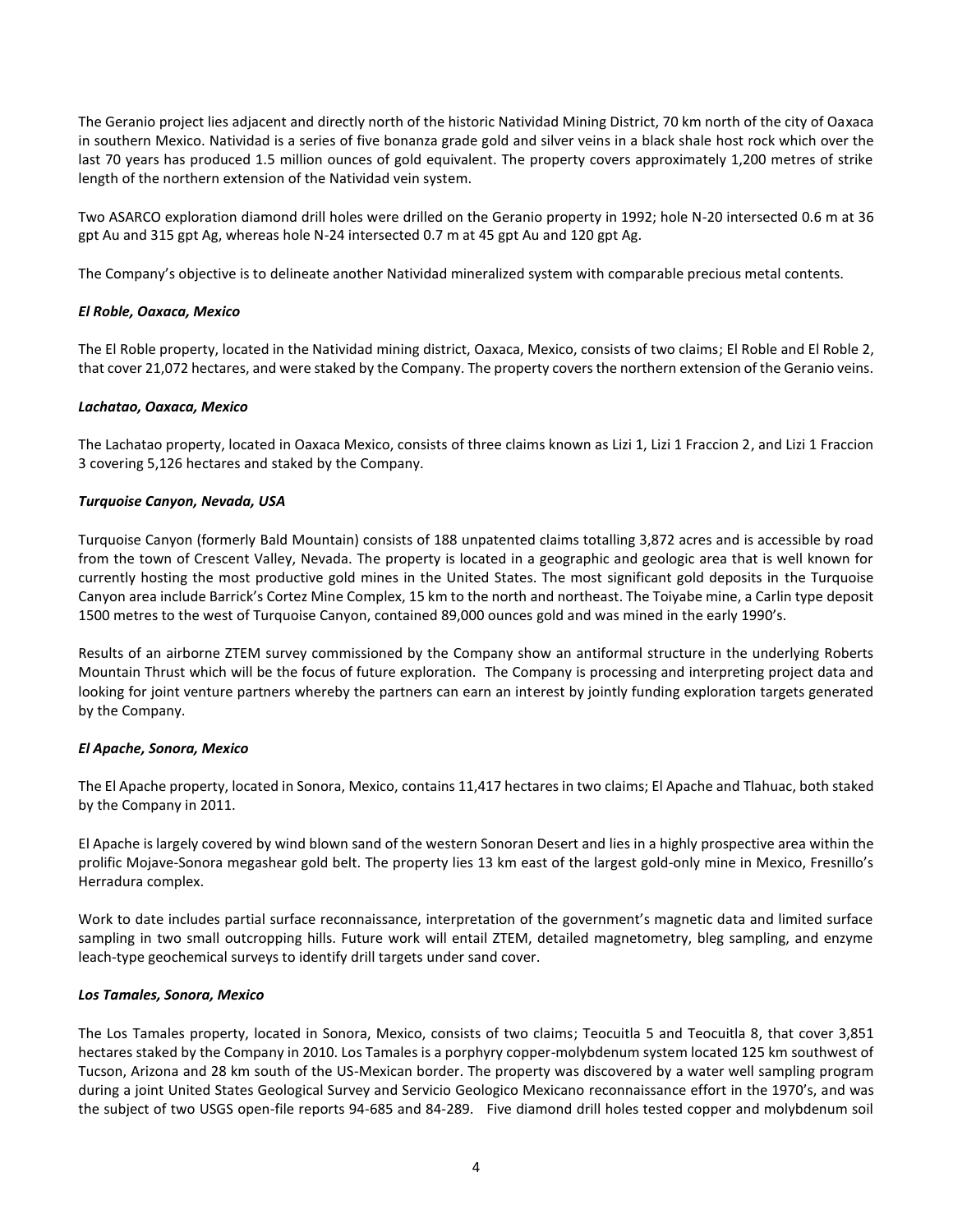The Geranio project lies adjacent and directly north of the historic Natividad Mining District, 70 km north of the city of Oaxaca in southern Mexico. Natividad is a series of five bonanza grade gold and silver veins in a black shale host rock which over the last 70 years has produced 1.5 million ounces of gold equivalent. The property covers approximately 1,200 metres of strike length of the northern extension of the Natividad vein system.

Two ASARCO exploration diamond drill holes were drilled on the Geranio property in 1992; hole N-20 intersected 0.6 m at 36 gpt Au and 315 gpt Ag, whereas hole N-24 intersected 0.7 m at 45 gpt Au and 120 gpt Ag.

The Company's objective is to delineate another Natividad mineralized system with comparable precious metal contents.

## *El Roble, Oaxaca, Mexico*

The El Roble property, located in the Natividad mining district, Oaxaca, Mexico, consists of two claims; El Roble and El Roble 2, that cover 21,072 hectares, and were staked by the Company. The property covers the northern extension of the Geranio veins.

## *Lachatao, Oaxaca, Mexico*

The Lachatao property, located in Oaxaca Mexico, consists of three claims known as Lizi 1, Lizi 1 Fraccion 2, and Lizi 1 Fraccion 3 covering 5,126 hectares and staked by the Company.

# *Turquoise Canyon, Nevada, USA*

Turquoise Canyon (formerly Bald Mountain) consists of 188 unpatented claims totalling 3,872 acres and is accessible by road from the town of Crescent Valley, Nevada. The property is located in a geographic and geologic area that is well known for currently hosting the most productive gold mines in the United States. The most significant gold deposits in the Turquoise Canyon area include Barrick's Cortez Mine Complex, 15 km to the north and northeast. The Toiyabe mine, a Carlin type deposit 1500 metres to the west of Turquoise Canyon, contained 89,000 ounces gold and was mined in the early 1990's.

Results of an airborne ZTEM survey commissioned by the Company show an antiformal structure in the underlying Roberts Mountain Thrust which will be the focus of future exploration. The Company is processing and interpreting project data and looking for joint venture partners whereby the partners can earn an interest by jointly funding exploration targets generated by the Company.

## *El Apache, Sonora, Mexico*

The El Apache property, located in Sonora, Mexico, contains 11,417 hectares in two claims; El Apache and Tlahuac, both staked by the Company in 2011.

El Apache is largely covered by wind blown sand of the western Sonoran Desert and lies in a highly prospective area within the prolific Mojave-Sonora megashear gold belt. The property lies 13 km east of the largest gold-only mine in Mexico, Fresnillo's Herradura complex.

Work to date includes partial surface reconnaissance, interpretation of the government's magnetic data and limited surface sampling in two small outcropping hills. Future work will entail ZTEM, detailed magnetometry, bleg sampling, and enzyme leach-type geochemical surveys to identify drill targets under sand cover.

## *Los Tamales, Sonora, Mexico*

The Los Tamales property, located in Sonora, Mexico, consists of two claims; Teocuitla 5 and Teocuitla 8, that cover 3,851 hectares staked by the Company in 2010. Los Tamales is a porphyry copper-molybdenum system located 125 km southwest of Tucson, Arizona and 28 km south of the US-Mexican border. The property was discovered by a water well sampling program during a joint United States Geological Survey and Servicio Geologico Mexicano reconnaissance effort in the 1970's, and was the subject of two USGS open-file reports 94-685 and 84-289. Five diamond drill holes tested copper and molybdenum soil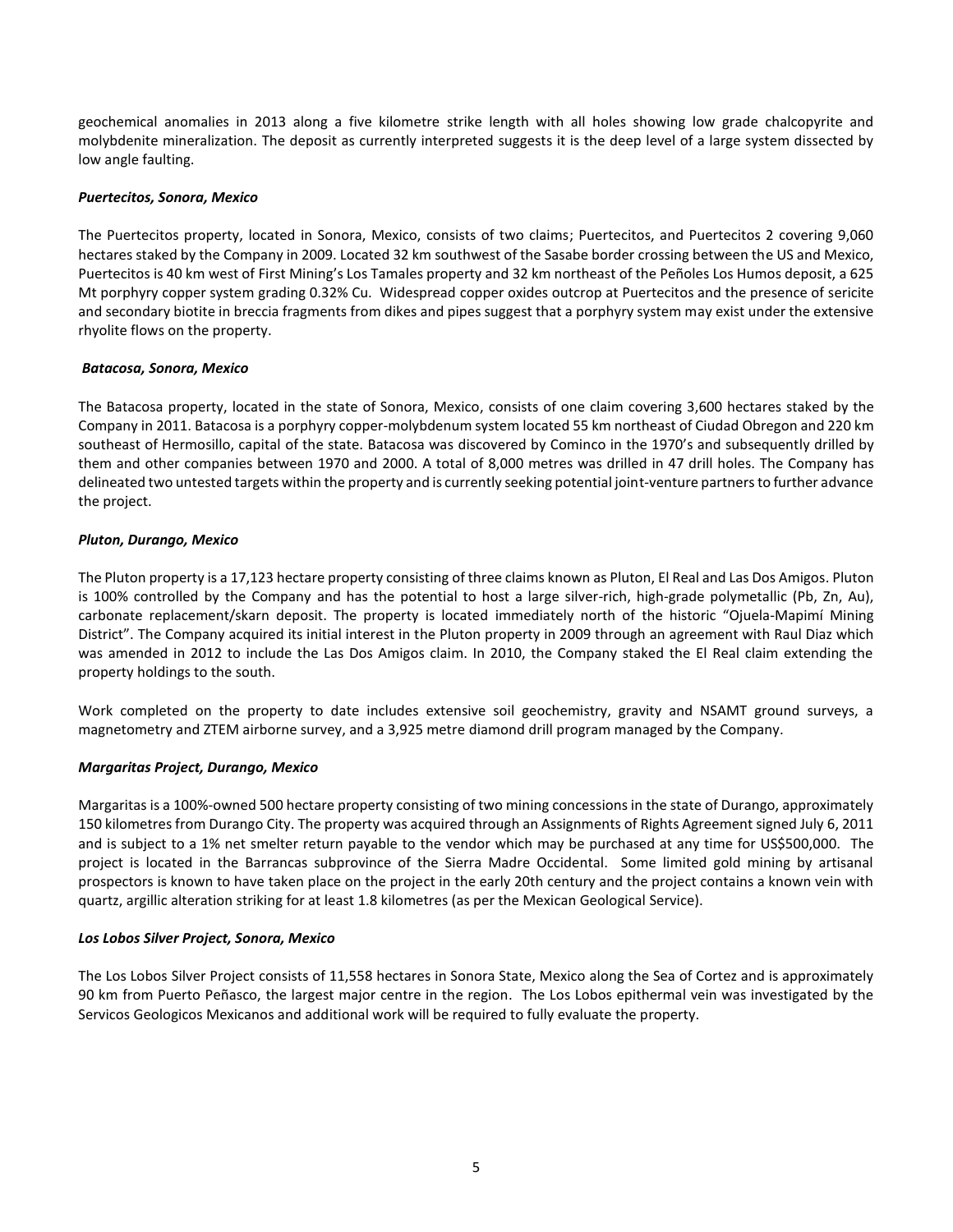geochemical anomalies in 2013 along a five kilometre strike length with all holes showing low grade chalcopyrite and molybdenite mineralization. The deposit as currently interpreted suggests it is the deep level of a large system dissected by low angle faulting.

### *Puertecitos, Sonora, Mexico*

The Puertecitos property, located in Sonora, Mexico, consists of two claims; Puertecitos, and Puertecitos 2 covering 9,060 hectares staked by the Company in 2009. Located 32 km southwest of the Sasabe border crossing between the US and Mexico, Puertecitos is 40 km west of First Mining's Los Tamales property and 32 km northeast of the Peñoles Los Humos deposit, a 625 Mt porphyry copper system grading 0.32% Cu. Widespread copper oxides outcrop at Puertecitos and the presence of sericite and secondary biotite in breccia fragments from dikes and pipes suggest that a porphyry system may exist under the extensive rhyolite flows on the property.

### *Batacosa, Sonora, Mexico*

The Batacosa property, located in the state of Sonora, Mexico, consists of one claim covering 3,600 hectares staked by the Company in 2011. Batacosa is a porphyry copper-molybdenum system located 55 km northeast of Ciudad Obregon and 220 km southeast of Hermosillo, capital of the state. Batacosa was discovered by Cominco in the 1970's and subsequently drilled by them and other companies between 1970 and 2000. A total of 8,000 metres was drilled in 47 drill holes. The Company has delineated two untested targets within the property and is currently seeking potential joint-venture partners to further advance the project.

### *Pluton, Durango, Mexico*

The Pluton property is a 17,123 hectare property consisting of three claims known as Pluton, El Real and Las Dos Amigos. Pluton is 100% controlled by the Company and has the potential to host a large silver-rich, high-grade polymetallic (Pb, Zn, Au), carbonate replacement/skarn deposit. The property is located immediately north of the historic "Ojuela-Mapimí Mining District". The Company acquired its initial interest in the Pluton property in 2009 through an agreement with Raul Diaz which was amended in 2012 to include the Las Dos Amigos claim. In 2010, the Company staked the El Real claim extending the property holdings to the south.

Work completed on the property to date includes extensive soil geochemistry, gravity and NSAMT ground surveys, a magnetometry and ZTEM airborne survey, and a 3,925 metre diamond drill program managed by the Company.

## *Margaritas Project, Durango, Mexico*

Margaritas is a 100%-owned 500 hectare property consisting of two mining concessions in the state of Durango, approximately 150 kilometres from Durango City. The property was acquired through an Assignments of Rights Agreement signed July 6, 2011 and is subject to a 1% net smelter return payable to the vendor which may be purchased at any time for US\$500,000. The project is located in the Barrancas subprovince of the Sierra Madre Occidental. Some limited gold mining by artisanal prospectors is known to have taken place on the project in the early 20th century and the project contains a known vein with quartz, argillic alteration striking for at least 1.8 kilometres (as per the Mexican Geological Service).

#### *Los Lobos Silver Project, Sonora, Mexico*

The Los Lobos Silver Project consists of 11,558 hectares in Sonora State, Mexico along the Sea of Cortez and is approximately 90 km from Puerto Peñasco, the largest major centre in the region. The Los Lobos epithermal vein was investigated by the Servicos Geologicos Mexicanos and additional work will be required to fully evaluate the property.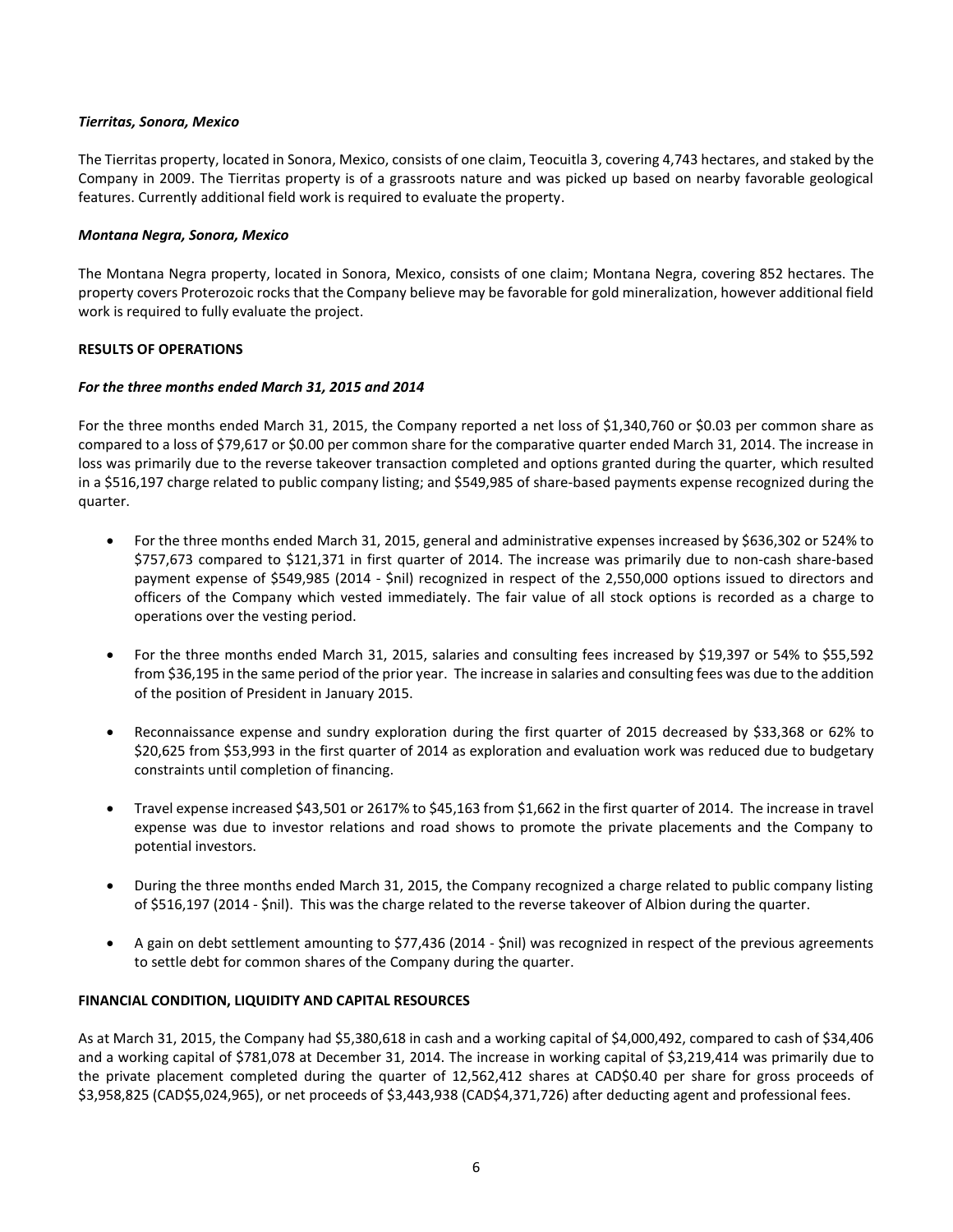## *Tierritas, Sonora, Mexico*

The Tierritas property, located in Sonora, Mexico, consists of one claim, Teocuitla 3, covering 4,743 hectares, and staked by the Company in 2009. The Tierritas property is of a grassroots nature and was picked up based on nearby favorable geological features. Currently additional field work is required to evaluate the property.

### *Montana Negra, Sonora, Mexico*

The Montana Negra property, located in Sonora, Mexico, consists of one claim; Montana Negra, covering 852 hectares. The property covers Proterozoic rocks that the Company believe may be favorable for gold mineralization, however additional field work is required to fully evaluate the project.

### **RESULTS OF OPERATIONS**

### *For the three months ended March 31, 2015 and 2014*

For the three months ended March 31, 2015, the Company reported a net loss of \$1,340,760 or \$0.03 per common share as compared to a loss of \$79,617 or \$0.00 per common share for the comparative quarter ended March 31, 2014. The increase in loss was primarily due to the reverse takeover transaction completed and options granted during the quarter, which resulted in a \$516,197 charge related to public company listing; and \$549,985 of share-based payments expense recognized during the quarter.

- For the three months ended March 31, 2015, general and administrative expenses increased by \$636,302 or 524% to \$757,673 compared to \$121,371 in first quarter of 2014. The increase was primarily due to non-cash share-based payment expense of \$549,985 (2014 - \$nil) recognized in respect of the 2,550,000 options issued to directors and officers of the Company which vested immediately. The fair value of all stock options is recorded as a charge to operations over the vesting period.
- For the three months ended March 31, 2015, salaries and consulting fees increased by \$19,397 or 54% to \$55,592 from \$36,195 in the same period of the prior year. The increase in salaries and consulting fees was due to the addition of the position of President in January 2015.
- Reconnaissance expense and sundry exploration during the first quarter of 2015 decreased by \$33,368 or 62% to \$20,625 from \$53,993 in the first quarter of 2014 as exploration and evaluation work was reduced due to budgetary constraints until completion of financing.
- Travel expense increased \$43,501 or 2617% to \$45,163 from \$1,662 in the first quarter of 2014. The increase in travel expense was due to investor relations and road shows to promote the private placements and the Company to potential investors.
- During the three months ended March 31, 2015, the Company recognized a charge related to public company listing of \$516,197 (2014 - \$nil). This was the charge related to the reverse takeover of Albion during the quarter.
- A gain on debt settlement amounting to \$77,436 (2014 \$nil) was recognized in respect of the previous agreements to settle debt for common shares of the Company during the quarter.

## **FINANCIAL CONDITION, LIQUIDITY AND CAPITAL RESOURCES**

As at March 31, 2015, the Company had \$5,380,618 in cash and a working capital of \$4,000,492, compared to cash of \$34,406 and a working capital of \$781,078 at December 31, 2014. The increase in working capital of \$3,219,414 was primarily due to the private placement completed during the quarter of 12,562,412 shares at CAD\$0.40 per share for gross proceeds of \$3,958,825 (CAD\$5,024,965), or net proceeds of \$3,443,938 (CAD\$4,371,726) after deducting agent and professional fees.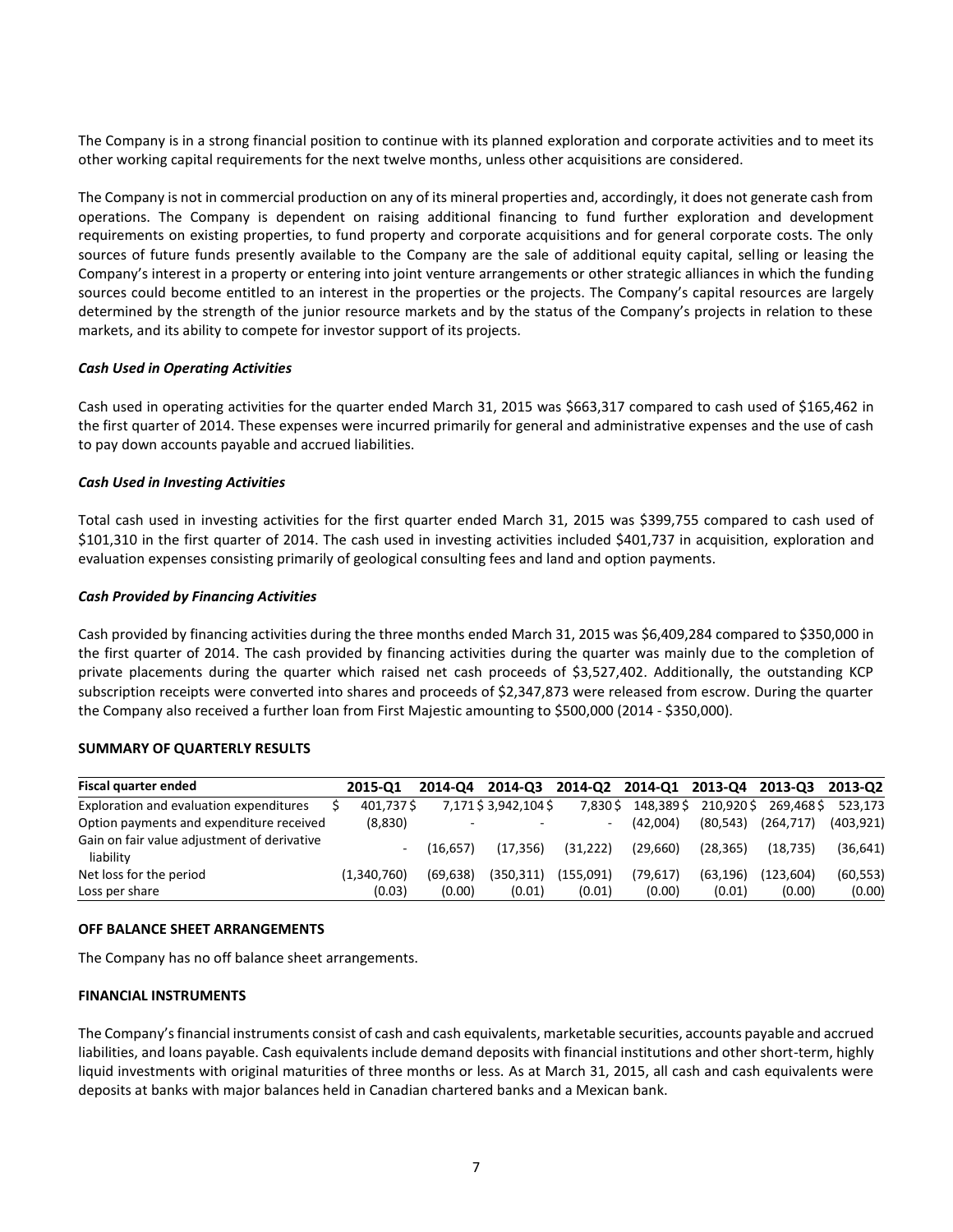The Company is in a strong financial position to continue with its planned exploration and corporate activities and to meet its other working capital requirements for the next twelve months, unless other acquisitions are considered.

The Company is not in commercial production on any of its mineral properties and, accordingly, it does not generate cash from operations. The Company is dependent on raising additional financing to fund further exploration and development requirements on existing properties, to fund property and corporate acquisitions and for general corporate costs. The only sources of future funds presently available to the Company are the sale of additional equity capital, selling or leasing the Company's interest in a property or entering into joint venture arrangements or other strategic alliances in which the funding sources could become entitled to an interest in the properties or the projects. The Company's capital resources are largely determined by the strength of the junior resource markets and by the status of the Company's projects in relation to these markets, and its ability to compete for investor support of its projects.

### *Cash Used in Operating Activities*

Cash used in operating activities for the quarter ended March 31, 2015 was \$663,317 compared to cash used of \$165,462 in the first quarter of 2014. These expenses were incurred primarily for general and administrative expenses and the use of cash to pay down accounts payable and accrued liabilities.

### *Cash Used in Investing Activities*

Total cash used in investing activities for the first quarter ended March 31, 2015 was \$399,755 compared to cash used of \$101,310 in the first quarter of 2014. The cash used in investing activities included \$401,737 in acquisition, exploration and evaluation expenses consisting primarily of geological consulting fees and land and option payments.

### *Cash Provided by Financing Activities*

Cash provided by financing activities during the three months ended March 31, 2015 was \$6,409,284 compared to \$350,000 in the first quarter of 2014. The cash provided by financing activities during the quarter was mainly due to the completion of private placements during the quarter which raised net cash proceeds of \$3,527,402. Additionally, the outstanding KCP subscription receipts were converted into shares and proceeds of \$2,347,873 were released from escrow. During the quarter the Company also received a further loan from First Majestic amounting to \$500,000 (2014 - \$350,000).

#### **SUMMARY OF QUARTERLY RESULTS**

| Fiscal quarter ended                                     | 2015-01     | 2014-04  | 2014-03              |           | 2014-Q2 2014-Q1 2013-Q4 |           | 2013-03    | 2013-02    |
|----------------------------------------------------------|-------------|----------|----------------------|-----------|-------------------------|-----------|------------|------------|
| Exploration and evaluation expenditures                  | 401,737\$   |          | 7,171 \$3,942,104 \$ | 7.830\$   | 148.389\$               | 210.920\$ | 269.468\$  | 523.173    |
| Option payments and expenditure received                 | (8,830)     | $\sim$   |                      | ۰         | (42.004)                | (80.543)  | (264, 717) | (403, 921) |
| Gain on fair value adjustment of derivative<br>liability | ٠           | (16.657) | (17.356)             | (31, 222) | (29.660)                | (28.365)  | (18.735)   | (36, 641)  |
| Net loss for the period                                  | (1,340,760) | (69.638) | (350.311)            | (155.091) | (79.617)                | (63.196)  | (123.604)  | (60, 553)  |
| Loss per share                                           | (0.03)      | (0.00)   | (0.01)               | (0.01)    | (0.00)                  | (0.01)    | (0.00)     | (0.00)     |

#### **OFF BALANCE SHEET ARRANGEMENTS**

The Company has no off balance sheet arrangements.

## **FINANCIAL INSTRUMENTS**

The Company's financial instruments consist of cash and cash equivalents, marketable securities, accounts payable and accrued liabilities, and loans payable. Cash equivalents include demand deposits with financial institutions and other short-term, highly liquid investments with original maturities of three months or less. As at March 31, 2015, all cash and cash equivalents were deposits at banks with major balances held in Canadian chartered banks and a Mexican bank.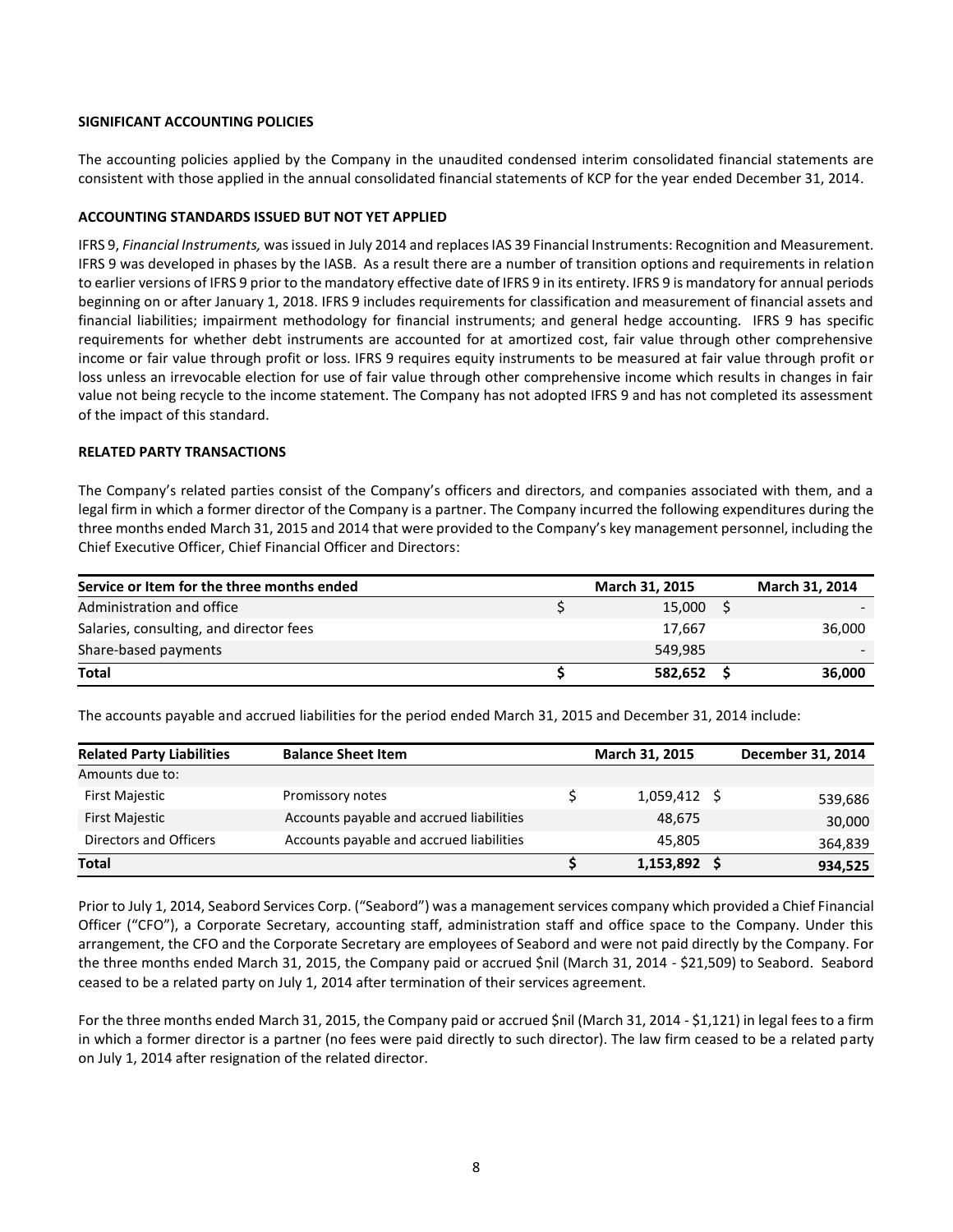### **SIGNIFICANT ACCOUNTING POLICIES**

The accounting policies applied by the Company in the unaudited condensed interim consolidated financial statements are consistent with those applied in the annual consolidated financial statements of KCP for the year ended December 31, 2014.

### **ACCOUNTING STANDARDS ISSUED BUT NOT YET APPLIED**

IFRS 9, *Financial Instruments,* was issued in July 2014 and replaces IAS 39 Financial Instruments: Recognition and Measurement. IFRS 9 was developed in phases by the IASB. As a result there are a number of transition options and requirements in relation to earlier versions of IFRS 9 prior to the mandatory effective date of IFRS 9 in its entirety. IFRS 9 is mandatory for annual periods beginning on or after January 1, 2018. IFRS 9 includes requirements for classification and measurement of financial assets and financial liabilities; impairment methodology for financial instruments; and general hedge accounting. IFRS 9 has specific requirements for whether debt instruments are accounted for at amortized cost, fair value through other comprehensive income or fair value through profit or loss. IFRS 9 requires equity instruments to be measured at fair value through profit or loss unless an irrevocable election for use of fair value through other comprehensive income which results in changes in fair value not being recycle to the income statement. The Company has not adopted IFRS 9 and has not completed its assessment of the impact of this standard.

### **RELATED PARTY TRANSACTIONS**

The Company's related parties consist of the Company's officers and directors, and companies associated with them, and a legal firm in which a former director of the Company is a partner. The Company incurred the following expenditures during the three months ended March 31, 2015 and 2014 that were provided to the Company's key management personnel, including the Chief Executive Officer, Chief Financial Officer and Directors:

| Service or Item for the three months ended | March 31, 2015 |         |  |        |  |
|--------------------------------------------|----------------|---------|--|--------|--|
| Administration and office                  |                | 15,000  |  |        |  |
| Salaries, consulting, and director fees    |                | 17.667  |  | 36,000 |  |
| Share-based payments                       |                | 549.985 |  |        |  |
| <b>Total</b>                               |                | 582.652 |  | 36,000 |  |

The accounts payable and accrued liabilities for the period ended March 31, 2015 and December 31, 2014 include:

| <b>Related Party Liabilities</b> | <b>Balance Sheet Item</b>                | March 31, 2015 | December 31, 2014 |
|----------------------------------|------------------------------------------|----------------|-------------------|
| Amounts due to:                  |                                          |                |                   |
| First Majestic                   | Promissory notes                         | $1,059,412$ \$ | 539,686           |
| <b>First Majestic</b>            | Accounts payable and accrued liabilities | 48,675         | 30,000            |
| Directors and Officers           | Accounts payable and accrued liabilities | 45.805         | 364,839           |
| Total                            |                                          | $1,153,892$ \$ | 934,525           |

Prior to July 1, 2014, Seabord Services Corp. ("Seabord") was a management services company which provided a Chief Financial Officer ("CFO"), a Corporate Secretary, accounting staff, administration staff and office space to the Company. Under this arrangement, the CFO and the Corporate Secretary are employees of Seabord and were not paid directly by the Company. For the three months ended March 31, 2015, the Company paid or accrued \$nil (March 31, 2014 - \$21,509) to Seabord. Seabord ceased to be a related party on July 1, 2014 after termination of their services agreement.

For the three months ended March 31, 2015, the Company paid or accrued \$nil (March 31, 2014 - \$1,121) in legal fees to a firm in which a former director is a partner (no fees were paid directly to such director). The law firm ceased to be a related party on July 1, 2014 after resignation of the related director.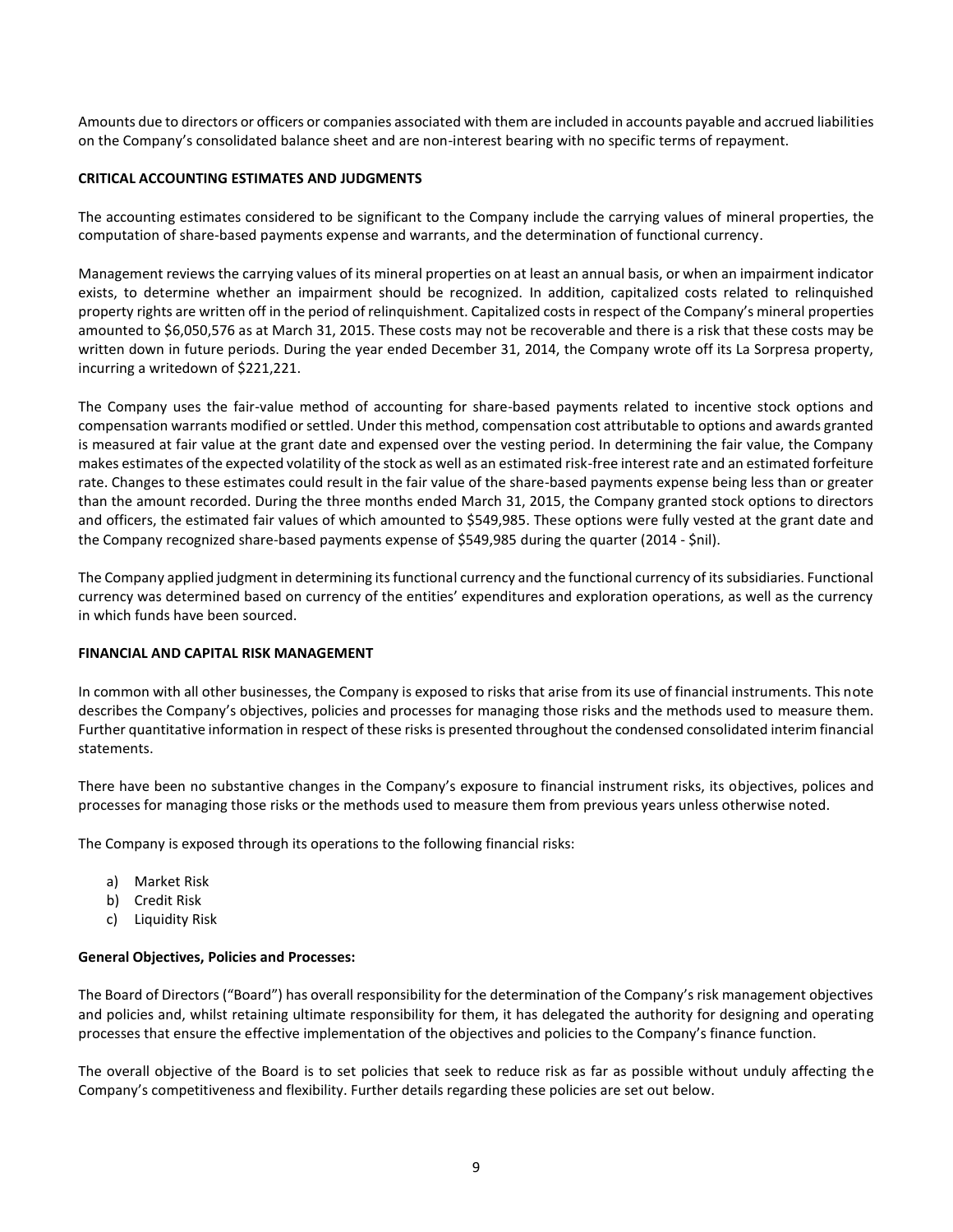Amounts due to directors or officers or companies associated with them are included in accounts payable and accrued liabilities on the Company's consolidated balance sheet and are non-interest bearing with no specific terms of repayment.

## **CRITICAL ACCOUNTING ESTIMATES AND JUDGMENTS**

The accounting estimates considered to be significant to the Company include the carrying values of mineral properties, the computation of share-based payments expense and warrants, and the determination of functional currency.

Management reviews the carrying values of its mineral properties on at least an annual basis, or when an impairment indicator exists, to determine whether an impairment should be recognized. In addition, capitalized costs related to relinquished property rights are written off in the period of relinquishment. Capitalized costs in respect of the Company's mineral properties amounted to \$6,050,576 as at March 31, 2015. These costs may not be recoverable and there is a risk that these costs may be written down in future periods. During the year ended December 31, 2014, the Company wrote off its La Sorpresa property, incurring a writedown of \$221,221.

The Company uses the fair-value method of accounting for share-based payments related to incentive stock options and compensation warrants modified or settled. Under this method, compensation cost attributable to options and awards granted is measured at fair value at the grant date and expensed over the vesting period. In determining the fair value, the Company makes estimates of the expected volatility of the stock as well as an estimated risk-free interest rate and an estimated forfeiture rate. Changes to these estimates could result in the fair value of the share-based payments expense being less than or greater than the amount recorded. During the three months ended March 31, 2015, the Company granted stock options to directors and officers, the estimated fair values of which amounted to \$549,985. These options were fully vested at the grant date and the Company recognized share-based payments expense of \$549,985 during the quarter (2014 - \$nil).

The Company applied judgment in determining its functional currency and the functional currency of its subsidiaries. Functional currency was determined based on currency of the entities' expenditures and exploration operations, as well as the currency in which funds have been sourced.

## **FINANCIAL AND CAPITAL RISK MANAGEMENT**

In common with all other businesses, the Company is exposed to risks that arise from its use of financial instruments. This note describes the Company's objectives, policies and processes for managing those risks and the methods used to measure them. Further quantitative information in respect of these risks is presented throughout the condensed consolidated interim financial statements.

There have been no substantive changes in the Company's exposure to financial instrument risks, its objectives, polices and processes for managing those risks or the methods used to measure them from previous years unless otherwise noted.

The Company is exposed through its operations to the following financial risks:

- a) Market Risk
- b) Credit Risk
- c) Liquidity Risk

## **General Objectives, Policies and Processes:**

The Board of Directors ("Board") has overall responsibility for the determination of the Company's risk management objectives and policies and, whilst retaining ultimate responsibility for them, it has delegated the authority for designing and operating processes that ensure the effective implementation of the objectives and policies to the Company's finance function.

The overall objective of the Board is to set policies that seek to reduce risk as far as possible without unduly affecting the Company's competitiveness and flexibility. Further details regarding these policies are set out below.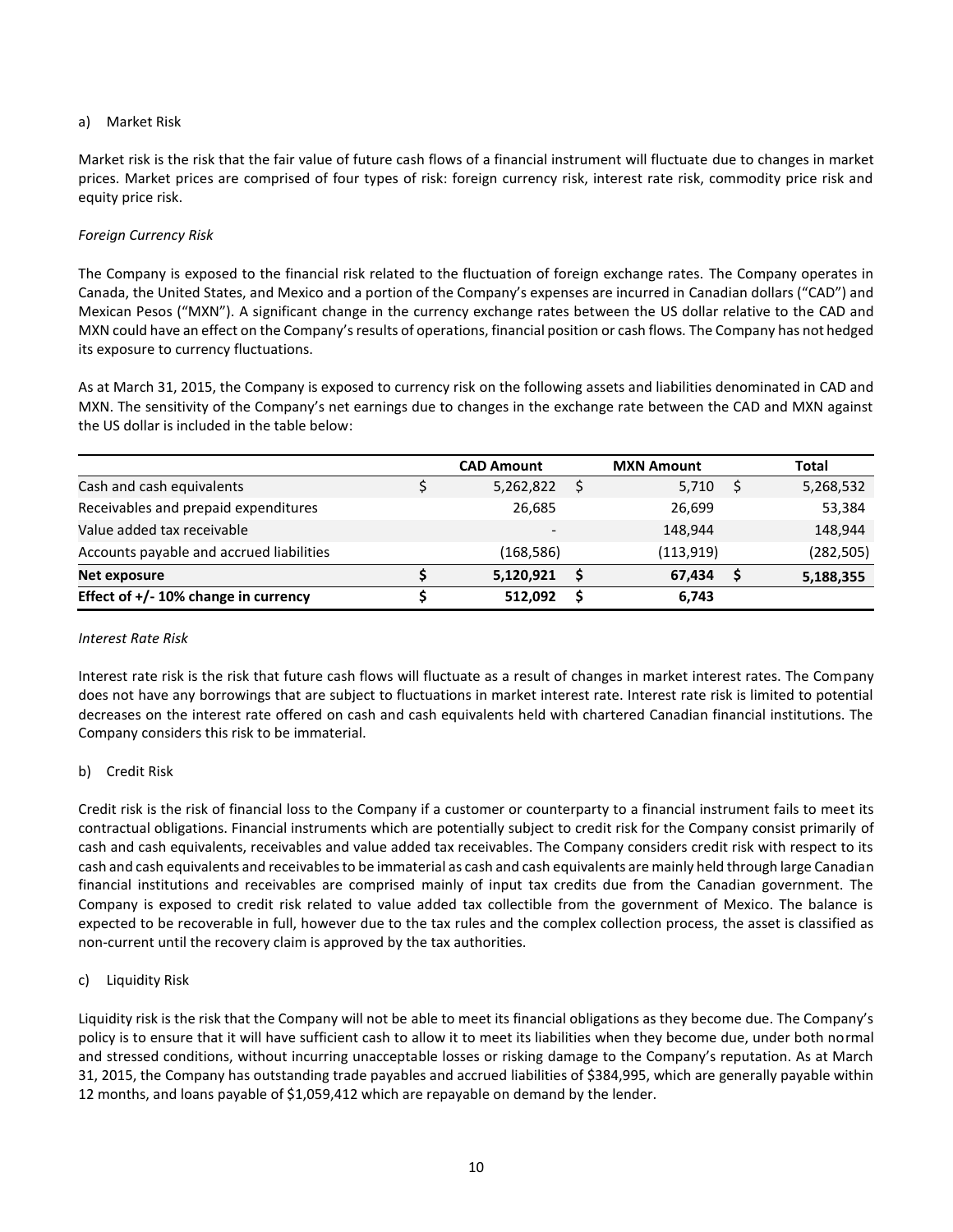## a) Market Risk

Market risk is the risk that the fair value of future cash flows of a financial instrument will fluctuate due to changes in market prices. Market prices are comprised of four types of risk: foreign currency risk, interest rate risk, commodity price risk and equity price risk.

## *Foreign Currency Risk*

The Company is exposed to the financial risk related to the fluctuation of foreign exchange rates. The Company operates in Canada, the United States, and Mexico and a portion of the Company's expenses are incurred in Canadian dollars ("CAD") and Mexican Pesos ("MXN"). A significant change in the currency exchange rates between the US dollar relative to the CAD and MXN could have an effect on the Company's results of operations, financial position or cash flows. The Company has not hedged its exposure to currency fluctuations.

As at March 31, 2015, the Company is exposed to currency risk on the following assets and liabilities denominated in CAD and MXN. The sensitivity of the Company's net earnings due to changes in the exchange rate between the CAD and MXN against the US dollar is included in the table below:

|                                          | <b>CAD Amount</b> | <b>MXN Amount</b> | Total      |
|------------------------------------------|-------------------|-------------------|------------|
| Cash and cash equivalents                | 5,262,822         | 5,710             | 5,268,532  |
| Receivables and prepaid expenditures     | 26,685            | 26,699            | 53,384     |
| Value added tax receivable               |                   | 148.944           | 148,944    |
| Accounts payable and accrued liabilities | (168, 586)        | (113, 919)        | (282, 505) |
| Net exposure                             | 5,120,921         | 67.434            | 5,188,355  |
| Effect of $+/-10\%$ change in currency   | 512.092           | 6,743             |            |

#### *Interest Rate Risk*

Interest rate risk is the risk that future cash flows will fluctuate as a result of changes in market interest rates. The Company does not have any borrowings that are subject to fluctuations in market interest rate. Interest rate risk is limited to potential decreases on the interest rate offered on cash and cash equivalents held with chartered Canadian financial institutions. The Company considers this risk to be immaterial.

## b) Credit Risk

Credit risk is the risk of financial loss to the Company if a customer or counterparty to a financial instrument fails to meet its contractual obligations. Financial instruments which are potentially subject to credit risk for the Company consist primarily of cash and cash equivalents, receivables and value added tax receivables. The Company considers credit risk with respect to its cash and cash equivalents and receivables to be immaterial as cash and cash equivalents are mainly held through large Canadian financial institutions and receivables are comprised mainly of input tax credits due from the Canadian government. The Company is exposed to credit risk related to value added tax collectible from the government of Mexico. The balance is expected to be recoverable in full, however due to the tax rules and the complex collection process, the asset is classified as non-current until the recovery claim is approved by the tax authorities.

## c) Liquidity Risk

Liquidity risk is the risk that the Company will not be able to meet its financial obligations as they become due. The Company's policy is to ensure that it will have sufficient cash to allow it to meet its liabilities when they become due, under both normal and stressed conditions, without incurring unacceptable losses or risking damage to the Company's reputation. As at March 31, 2015, the Company has outstanding trade payables and accrued liabilities of \$384,995, which are generally payable within 12 months, and loans payable of \$1,059,412 which are repayable on demand by the lender.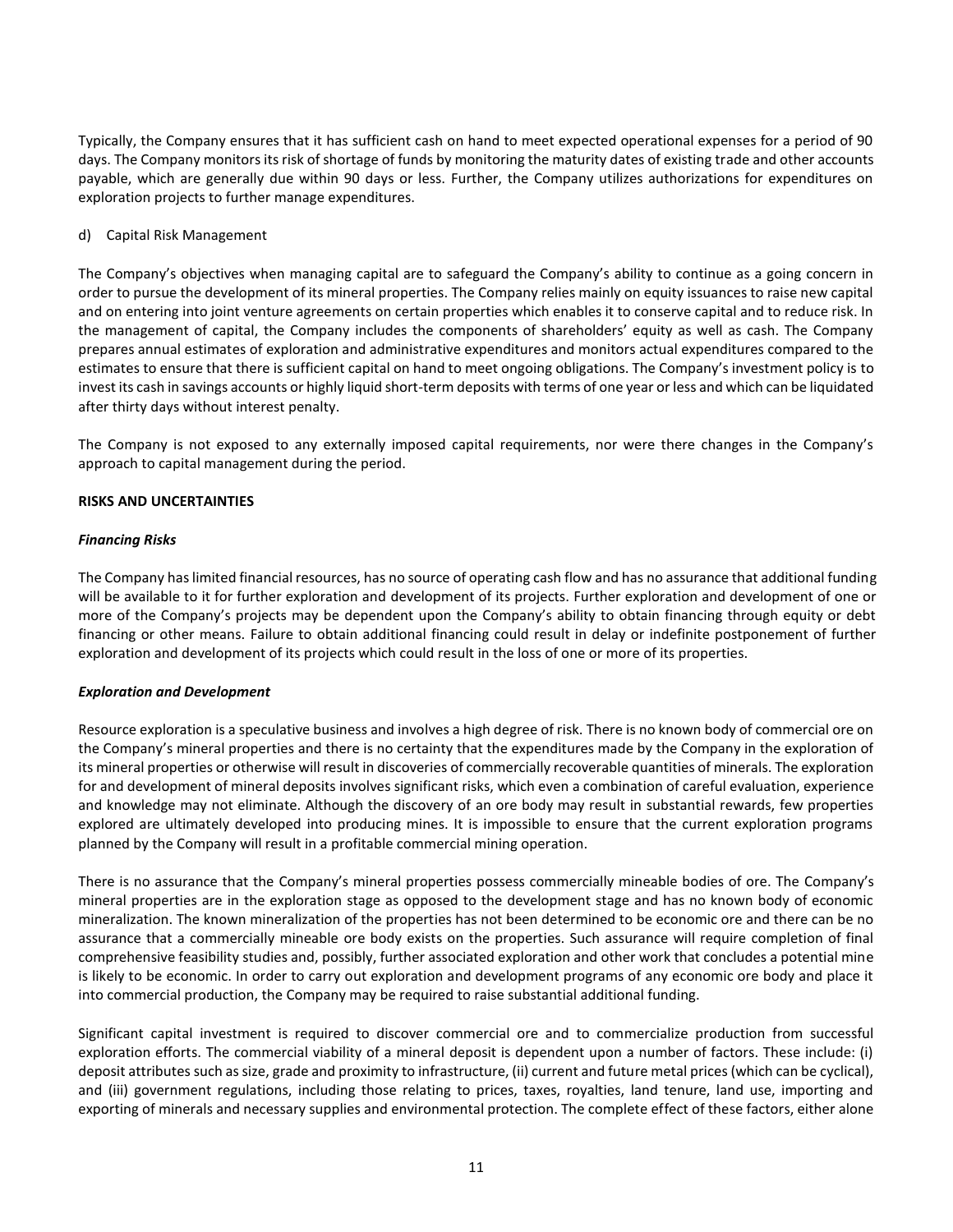Typically, the Company ensures that it has sufficient cash on hand to meet expected operational expenses for a period of 90 days. The Company monitors its risk of shortage of funds by monitoring the maturity dates of existing trade and other accounts payable, which are generally due within 90 days or less. Further, the Company utilizes authorizations for expenditures on exploration projects to further manage expenditures.

## d) Capital Risk Management

The Company's objectives when managing capital are to safeguard the Company's ability to continue as a going concern in order to pursue the development of its mineral properties. The Company relies mainly on equity issuances to raise new capital and on entering into joint venture agreements on certain properties which enables it to conserve capital and to reduce risk. In the management of capital, the Company includes the components of shareholders' equity as well as cash. The Company prepares annual estimates of exploration and administrative expenditures and monitors actual expenditures compared to the estimates to ensure that there is sufficient capital on hand to meet ongoing obligations. The Company's investment policy is to invest its cash in savings accounts or highly liquid short-term deposits with terms of one year or less and which can be liquidated after thirty days without interest penalty.

The Company is not exposed to any externally imposed capital requirements, nor were there changes in the Company's approach to capital management during the period.

# **RISKS AND UNCERTAINTIES**

## *Financing Risks*

The Company has limited financial resources, has no source of operating cash flow and has no assurance that additional funding will be available to it for further exploration and development of its projects. Further exploration and development of one or more of the Company's projects may be dependent upon the Company's ability to obtain financing through equity or debt financing or other means. Failure to obtain additional financing could result in delay or indefinite postponement of further exploration and development of its projects which could result in the loss of one or more of its properties.

## *Exploration and Development*

Resource exploration is a speculative business and involves a high degree of risk. There is no known body of commercial ore on the Company's mineral properties and there is no certainty that the expenditures made by the Company in the exploration of its mineral properties or otherwise will result in discoveries of commercially recoverable quantities of minerals. The exploration for and development of mineral deposits involves significant risks, which even a combination of careful evaluation, experience and knowledge may not eliminate. Although the discovery of an ore body may result in substantial rewards, few properties explored are ultimately developed into producing mines. It is impossible to ensure that the current exploration programs planned by the Company will result in a profitable commercial mining operation.

There is no assurance that the Company's mineral properties possess commercially mineable bodies of ore. The Company's mineral properties are in the exploration stage as opposed to the development stage and has no known body of economic mineralization. The known mineralization of the properties has not been determined to be economic ore and there can be no assurance that a commercially mineable ore body exists on the properties. Such assurance will require completion of final comprehensive feasibility studies and, possibly, further associated exploration and other work that concludes a potential mine is likely to be economic. In order to carry out exploration and development programs of any economic ore body and place it into commercial production, the Company may be required to raise substantial additional funding.

Significant capital investment is required to discover commercial ore and to commercialize production from successful exploration efforts. The commercial viability of a mineral deposit is dependent upon a number of factors. These include: (i) deposit attributes such as size, grade and proximity to infrastructure, (ii) current and future metal prices (which can be cyclical), and (iii) government regulations, including those relating to prices, taxes, royalties, land tenure, land use, importing and exporting of minerals and necessary supplies and environmental protection. The complete effect of these factors, either alone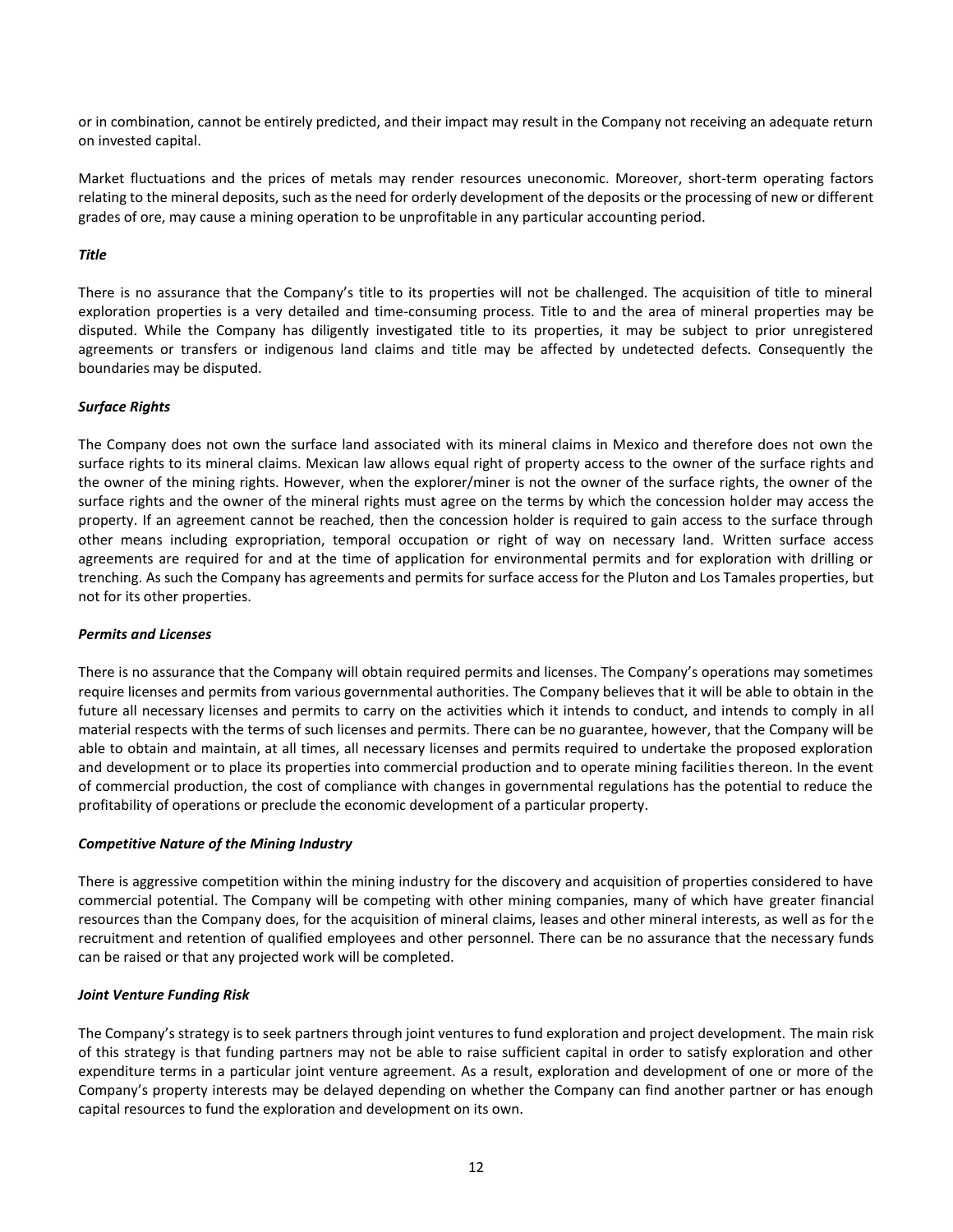or in combination, cannot be entirely predicted, and their impact may result in the Company not receiving an adequate return on invested capital.

Market fluctuations and the prices of metals may render resources uneconomic. Moreover, short-term operating factors relating to the mineral deposits, such as the need for orderly development of the deposits or the processing of new or different grades of ore, may cause a mining operation to be unprofitable in any particular accounting period.

## *Title*

There is no assurance that the Company's title to its properties will not be challenged. The acquisition of title to mineral exploration properties is a very detailed and time-consuming process. Title to and the area of mineral properties may be disputed. While the Company has diligently investigated title to its properties, it may be subject to prior unregistered agreements or transfers or indigenous land claims and title may be affected by undetected defects. Consequently the boundaries may be disputed.

## *Surface Rights*

The Company does not own the surface land associated with its mineral claims in Mexico and therefore does not own the surface rights to its mineral claims. Mexican law allows equal right of property access to the owner of the surface rights and the owner of the mining rights. However, when the explorer/miner is not the owner of the surface rights, the owner of the surface rights and the owner of the mineral rights must agree on the terms by which the concession holder may access the property. If an agreement cannot be reached, then the concession holder is required to gain access to the surface through other means including expropriation, temporal occupation or right of way on necessary land. Written surface access agreements are required for and at the time of application for environmental permits and for exploration with drilling or trenching. As such the Company has agreements and permits for surface access for the Pluton and Los Tamales properties, but not for its other properties.

#### *Permits and Licenses*

There is no assurance that the Company will obtain required permits and licenses. The Company's operations may sometimes require licenses and permits from various governmental authorities. The Company believes that it will be able to obtain in the future all necessary licenses and permits to carry on the activities which it intends to conduct, and intends to comply in all material respects with the terms of such licenses and permits. There can be no guarantee, however, that the Company will be able to obtain and maintain, at all times, all necessary licenses and permits required to undertake the proposed exploration and development or to place its properties into commercial production and to operate mining facilities thereon. In the event of commercial production, the cost of compliance with changes in governmental regulations has the potential to reduce the profitability of operations or preclude the economic development of a particular property.

## *Competitive Nature of the Mining Industry*

There is aggressive competition within the mining industry for the discovery and acquisition of properties considered to have commercial potential. The Company will be competing with other mining companies, many of which have greater financial resources than the Company does, for the acquisition of mineral claims, leases and other mineral interests, as well as for the recruitment and retention of qualified employees and other personnel. There can be no assurance that the necessary funds can be raised or that any projected work will be completed.

#### *Joint Venture Funding Risk*

The Company's strategy is to seek partners through joint ventures to fund exploration and project development. The main risk of this strategy is that funding partners may not be able to raise sufficient capital in order to satisfy exploration and other expenditure terms in a particular joint venture agreement. As a result, exploration and development of one or more of the Company's property interests may be delayed depending on whether the Company can find another partner or has enough capital resources to fund the exploration and development on its own.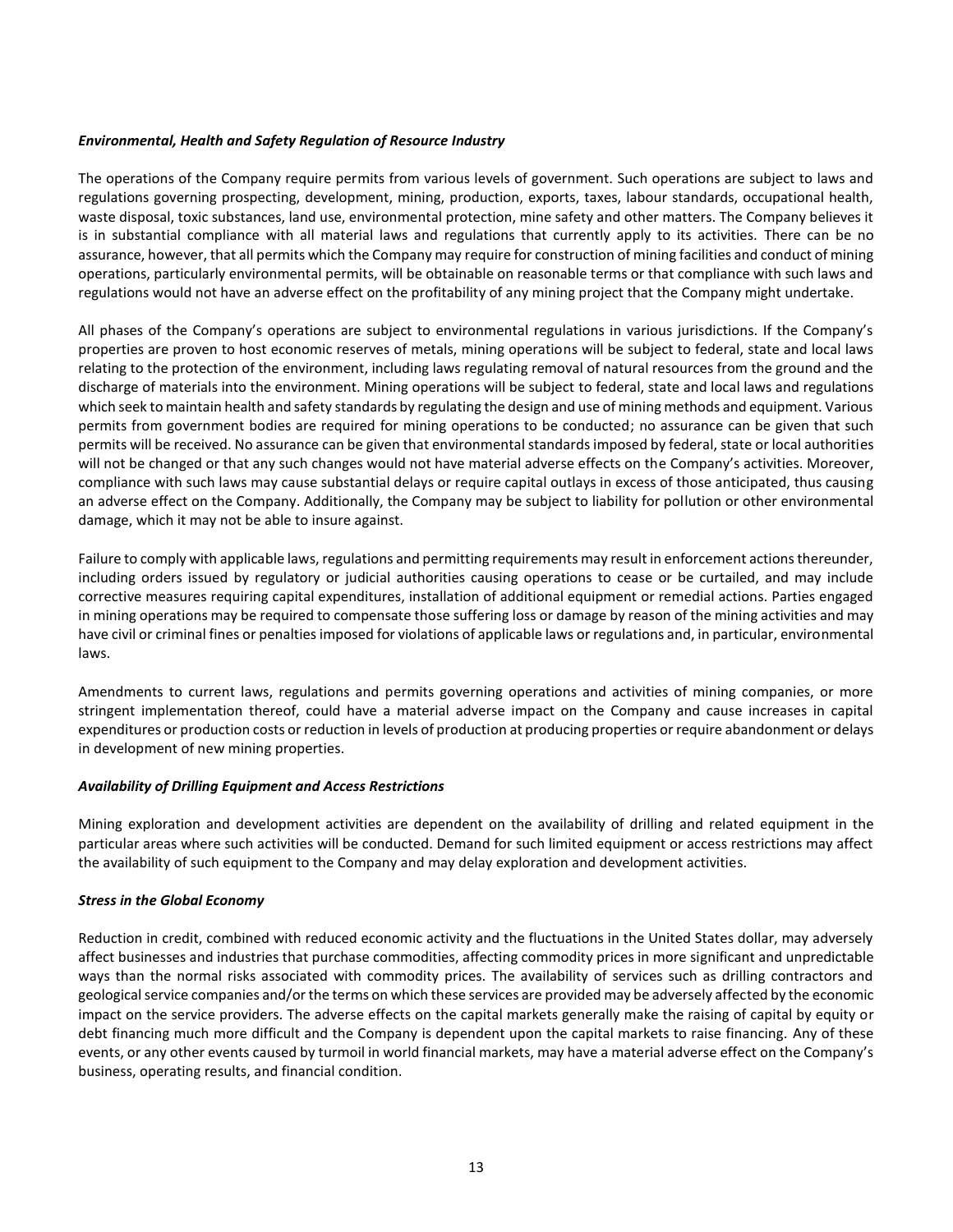### *Environmental, Health and Safety Regulation of Resource Industry*

The operations of the Company require permits from various levels of government. Such operations are subject to laws and regulations governing prospecting, development, mining, production, exports, taxes, labour standards, occupational health, waste disposal, toxic substances, land use, environmental protection, mine safety and other matters. The Company believes it is in substantial compliance with all material laws and regulations that currently apply to its activities. There can be no assurance, however, that all permits which the Company may require for construction of mining facilities and conduct of mining operations, particularly environmental permits, will be obtainable on reasonable terms or that compliance with such laws and regulations would not have an adverse effect on the profitability of any mining project that the Company might undertake.

All phases of the Company's operations are subject to environmental regulations in various jurisdictions. If the Company's properties are proven to host economic reserves of metals, mining operations will be subject to federal, state and local laws relating to the protection of the environment, including laws regulating removal of natural resources from the ground and the discharge of materials into the environment. Mining operations will be subject to federal, state and local laws and regulations which seek to maintain health and safety standards by regulating the design and use of mining methods and equipment. Various permits from government bodies are required for mining operations to be conducted; no assurance can be given that such permits will be received. No assurance can be given that environmental standards imposed by federal, state or local authorities will not be changed or that any such changes would not have material adverse effects on the Company's activities. Moreover, compliance with such laws may cause substantial delays or require capital outlays in excess of those anticipated, thus causing an adverse effect on the Company. Additionally, the Company may be subject to liability for pollution or other environmental damage, which it may not be able to insure against.

Failure to comply with applicable laws, regulations and permitting requirements may result in enforcement actions thereunder, including orders issued by regulatory or judicial authorities causing operations to cease or be curtailed, and may include corrective measures requiring capital expenditures, installation of additional equipment or remedial actions. Parties engaged in mining operations may be required to compensate those suffering loss or damage by reason of the mining activities and may have civil or criminal fines or penalties imposed for violations of applicable laws or regulations and, in particular, environmental laws.

Amendments to current laws, regulations and permits governing operations and activities of mining companies, or more stringent implementation thereof, could have a material adverse impact on the Company and cause increases in capital expenditures or production costs or reduction in levels of production at producing properties or require abandonment or delays in development of new mining properties.

#### *Availability of Drilling Equipment and Access Restrictions*

Mining exploration and development activities are dependent on the availability of drilling and related equipment in the particular areas where such activities will be conducted. Demand for such limited equipment or access restrictions may affect the availability of such equipment to the Company and may delay exploration and development activities.

#### *Stress in the Global Economy*

Reduction in credit, combined with reduced economic activity and the fluctuations in the United States dollar, may adversely affect businesses and industries that purchase commodities, affecting commodity prices in more significant and unpredictable ways than the normal risks associated with commodity prices. The availability of services such as drilling contractors and geological service companies and/or the terms on which these services are provided may be adversely affected by the economic impact on the service providers. The adverse effects on the capital markets generally make the raising of capital by equity or debt financing much more difficult and the Company is dependent upon the capital markets to raise financing. Any of these events, or any other events caused by turmoil in world financial markets, may have a material adverse effect on the Company's business, operating results, and financial condition.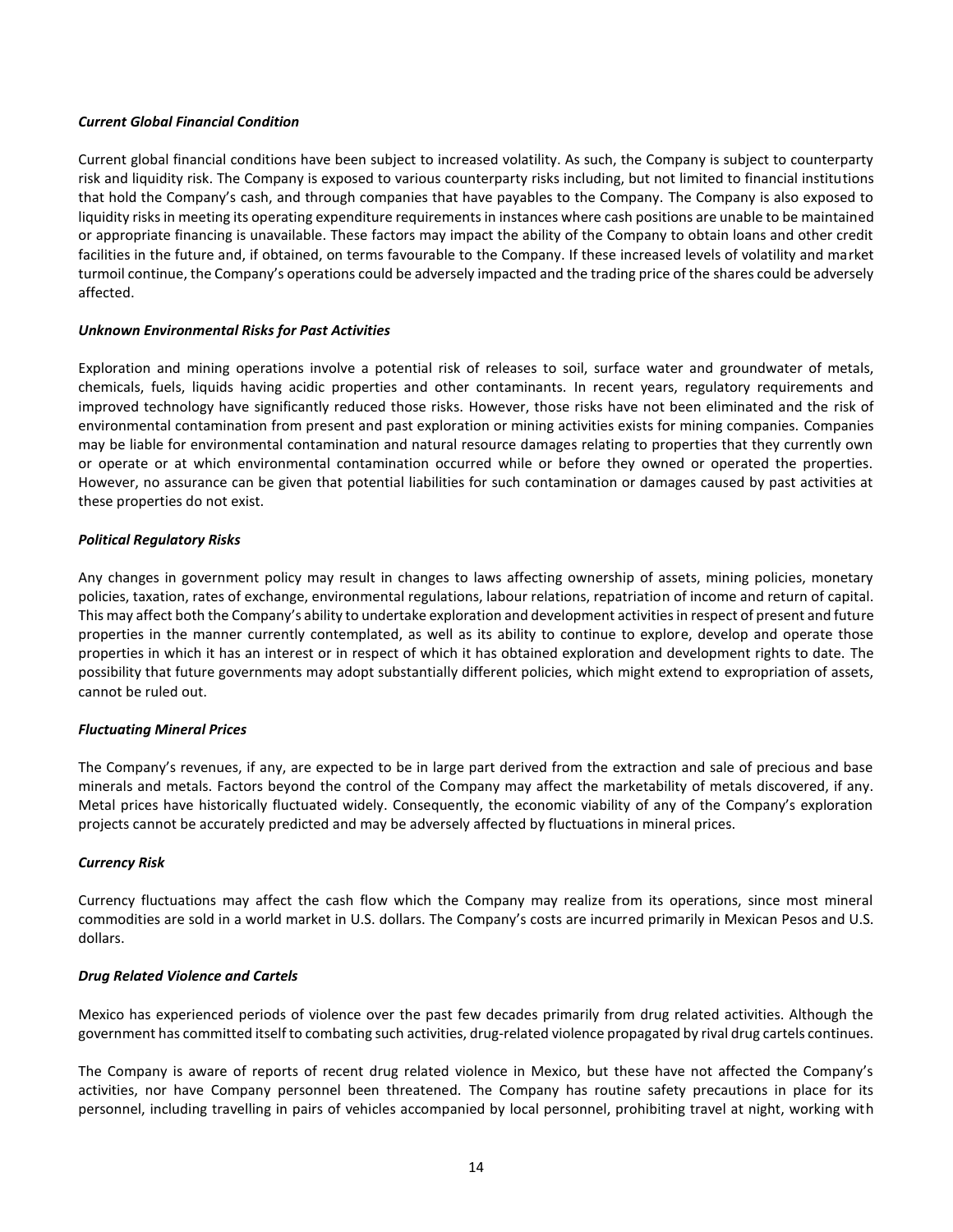### *Current Global Financial Condition*

Current global financial conditions have been subject to increased volatility. As such, the Company is subject to counterparty risk and liquidity risk. The Company is exposed to various counterparty risks including, but not limited to financial institutions that hold the Company's cash, and through companies that have payables to the Company. The Company is also exposed to liquidity risks in meeting its operating expenditure requirements in instances where cash positions are unable to be maintained or appropriate financing is unavailable. These factors may impact the ability of the Company to obtain loans and other credit facilities in the future and, if obtained, on terms favourable to the Company. If these increased levels of volatility and market turmoil continue, the Company's operations could be adversely impacted and the trading price of the shares could be adversely affected.

## *Unknown Environmental Risks for Past Activities*

Exploration and mining operations involve a potential risk of releases to soil, surface water and groundwater of metals, chemicals, fuels, liquids having acidic properties and other contaminants. In recent years, regulatory requirements and improved technology have significantly reduced those risks. However, those risks have not been eliminated and the risk of environmental contamination from present and past exploration or mining activities exists for mining companies. Companies may be liable for environmental contamination and natural resource damages relating to properties that they currently own or operate or at which environmental contamination occurred while or before they owned or operated the properties. However, no assurance can be given that potential liabilities for such contamination or damages caused by past activities at these properties do not exist.

### *Political Regulatory Risks*

Any changes in government policy may result in changes to laws affecting ownership of assets, mining policies, monetary policies, taxation, rates of exchange, environmental regulations, labour relations, repatriation of income and return of capital. This may affect both the Company's ability to undertake exploration and development activities in respect of present and future properties in the manner currently contemplated, as well as its ability to continue to explore, develop and operate those properties in which it has an interest or in respect of which it has obtained exploration and development rights to date. The possibility that future governments may adopt substantially different policies, which might extend to expropriation of assets, cannot be ruled out.

#### *Fluctuating Mineral Prices*

The Company's revenues, if any, are expected to be in large part derived from the extraction and sale of precious and base minerals and metals. Factors beyond the control of the Company may affect the marketability of metals discovered, if any. Metal prices have historically fluctuated widely. Consequently, the economic viability of any of the Company's exploration projects cannot be accurately predicted and may be adversely affected by fluctuations in mineral prices.

#### *Currency Risk*

Currency fluctuations may affect the cash flow which the Company may realize from its operations, since most mineral commodities are sold in a world market in U.S. dollars. The Company's costs are incurred primarily in Mexican Pesos and U.S. dollars.

#### *Drug Related Violence and Cartels*

Mexico has experienced periods of violence over the past few decades primarily from drug related activities. Although the government has committed itself to combating such activities, drug-related violence propagated by rival drug cartels continues.

The Company is aware of reports of recent drug related violence in Mexico, but these have not affected the Company's activities, nor have Company personnel been threatened. The Company has routine safety precautions in place for its personnel, including travelling in pairs of vehicles accompanied by local personnel, prohibiting travel at night, working with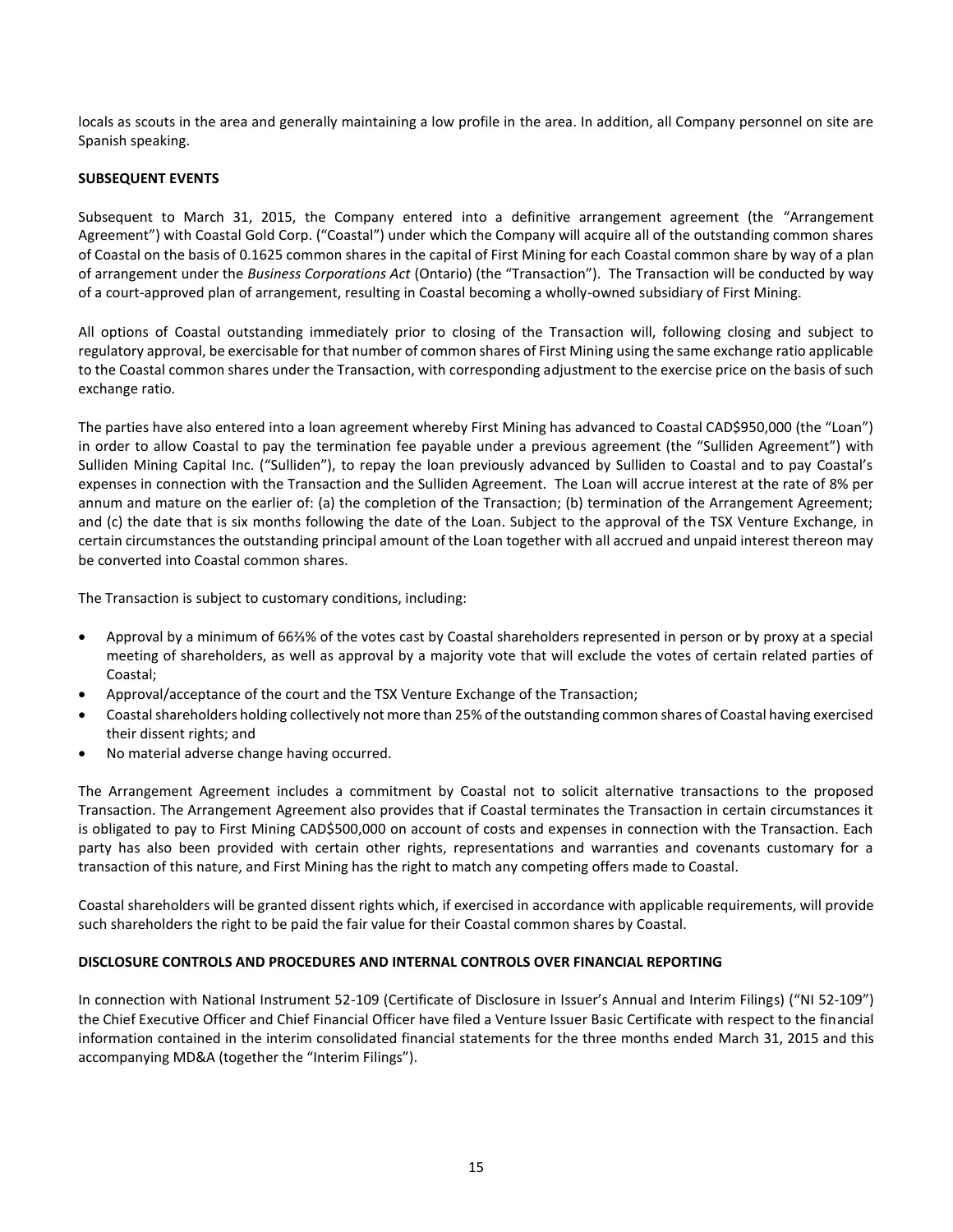locals as scouts in the area and generally maintaining a low profile in the area. In addition, all Company personnel on site are Spanish speaking.

## **SUBSEQUENT EVENTS**

Subsequent to March 31, 2015, the Company entered into a definitive arrangement agreement (the "Arrangement Agreement") with Coastal Gold Corp. ("Coastal") under which the Company will acquire all of the outstanding common shares of Coastal on the basis of 0.1625 common shares in the capital of First Mining for each Coastal common share by way of a plan of arrangement under the *Business Corporations Act* (Ontario) (the "Transaction"). The Transaction will be conducted by way of a court-approved plan of arrangement, resulting in Coastal becoming a wholly-owned subsidiary of First Mining.

All options of Coastal outstanding immediately prior to closing of the Transaction will, following closing and subject to regulatory approval, be exercisable for that number of common shares of First Mining using the same exchange ratio applicable to the Coastal common shares under the Transaction, with corresponding adjustment to the exercise price on the basis of such exchange ratio.

The parties have also entered into a loan agreement whereby First Mining has advanced to Coastal CAD\$950,000 (the "Loan") in order to allow Coastal to pay the termination fee payable under a previous agreement (the "Sulliden Agreement") with Sulliden Mining Capital Inc. ("Sulliden"), to repay the loan previously advanced by Sulliden to Coastal and to pay Coastal's expenses in connection with the Transaction and the Sulliden Agreement. The Loan will accrue interest at the rate of 8% per annum and mature on the earlier of: (a) the completion of the Transaction; (b) termination of the Arrangement Agreement; and (c) the date that is six months following the date of the Loan. Subject to the approval of the TSX Venture Exchange, in certain circumstances the outstanding principal amount of the Loan together with all accrued and unpaid interest thereon may be converted into Coastal common shares.

The Transaction is subject to customary conditions, including:

- Approval by a minimum of 66⅔% of the votes cast by Coastal shareholders represented in person or by proxy at a special meeting of shareholders, as well as approval by a majority vote that will exclude the votes of certain related parties of Coastal;
- Approval/acceptance of the court and the TSX Venture Exchange of the Transaction;
- Coastal shareholders holding collectively not more than 25% of the outstanding common shares of Coastal having exercised their dissent rights; and
- No material adverse change having occurred.

The Arrangement Agreement includes a commitment by Coastal not to solicit alternative transactions to the proposed Transaction. The Arrangement Agreement also provides that if Coastal terminates the Transaction in certain circumstances it is obligated to pay to First Mining CAD\$500,000 on account of costs and expenses in connection with the Transaction. Each party has also been provided with certain other rights, representations and warranties and covenants customary for a transaction of this nature, and First Mining has the right to match any competing offers made to Coastal.

Coastal shareholders will be granted dissent rights which, if exercised in accordance with applicable requirements, will provide such shareholders the right to be paid the fair value for their Coastal common shares by Coastal.

## **DISCLOSURE CONTROLS AND PROCEDURES AND INTERNAL CONTROLS OVER FINANCIAL REPORTING**

In connection with National Instrument 52-109 (Certificate of Disclosure in Issuer's Annual and Interim Filings) ("NI 52-109") the Chief Executive Officer and Chief Financial Officer have filed a Venture Issuer Basic Certificate with respect to the financial information contained in the interim consolidated financial statements for the three months ended March 31, 2015 and this accompanying MD&A (together the "Interim Filings").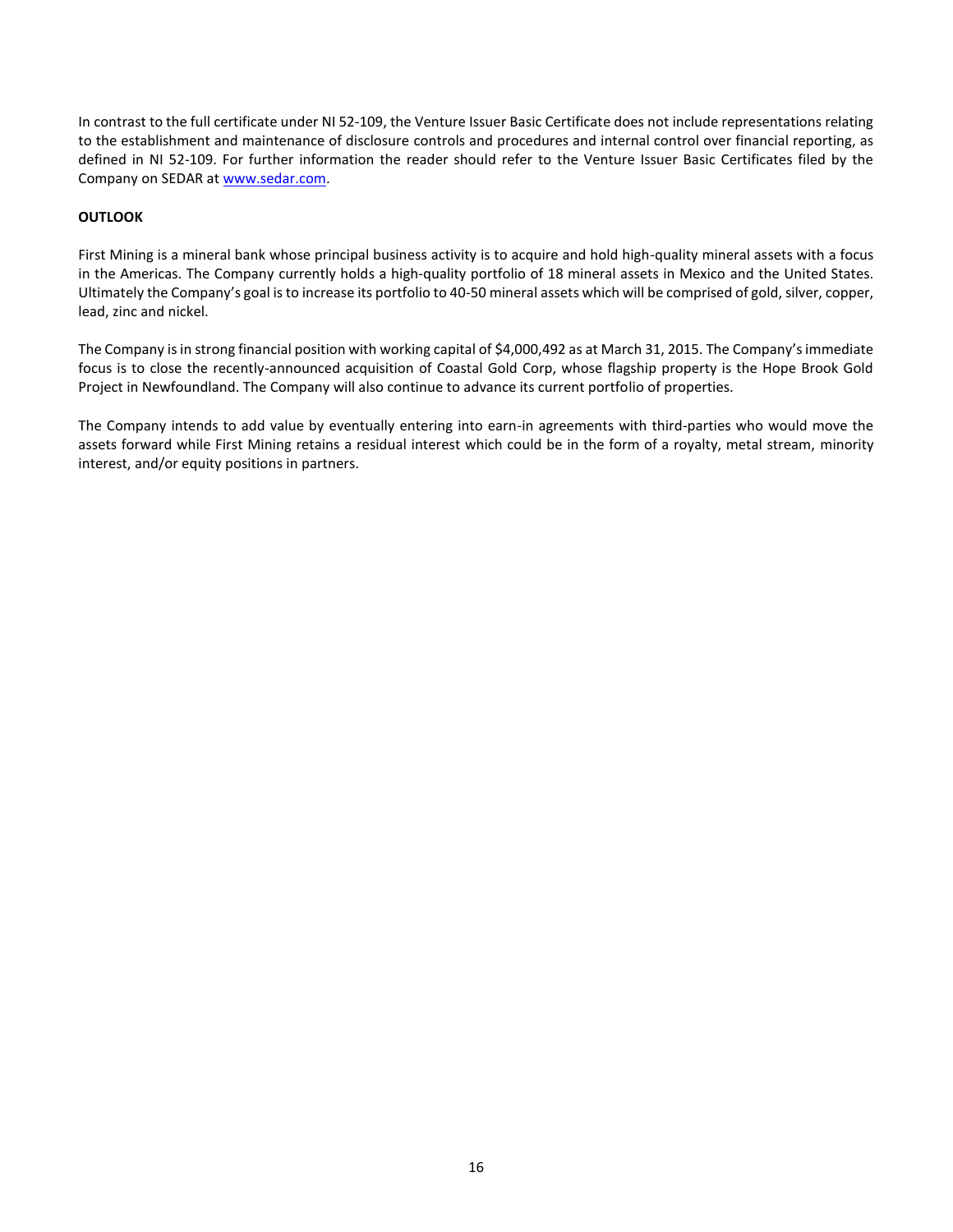In contrast to the full certificate under NI 52-109, the Venture Issuer Basic Certificate does not include representations relating to the establishment and maintenance of disclosure controls and procedures and internal control over financial reporting, as defined in NI 52-109. For further information the reader should refer to the Venture Issuer Basic Certificates filed by the Company on SEDAR a[t www.sedar.com.](http://www.sedar.com/)

# **OUTLOOK**

First Mining is a mineral bank whose principal business activity is to acquire and hold high-quality mineral assets with a focus in the Americas. The Company currently holds a high-quality portfolio of 18 mineral assets in Mexico and the United States. Ultimately the Company's goal is to increase its portfolio to 40-50 mineral assets which will be comprised of gold, silver, copper, lead, zinc and nickel.

The Company is in strong financial position with working capital of \$4,000,492 as at March 31, 2015. The Company's immediate focus is to close the recently-announced acquisition of Coastal Gold Corp, whose flagship property is the Hope Brook Gold Project in Newfoundland. The Company will also continue to advance its current portfolio of properties.

The Company intends to add value by eventually entering into earn-in agreements with third-parties who would move the assets forward while First Mining retains a residual interest which could be in the form of a royalty, metal stream, minority interest, and/or equity positions in partners.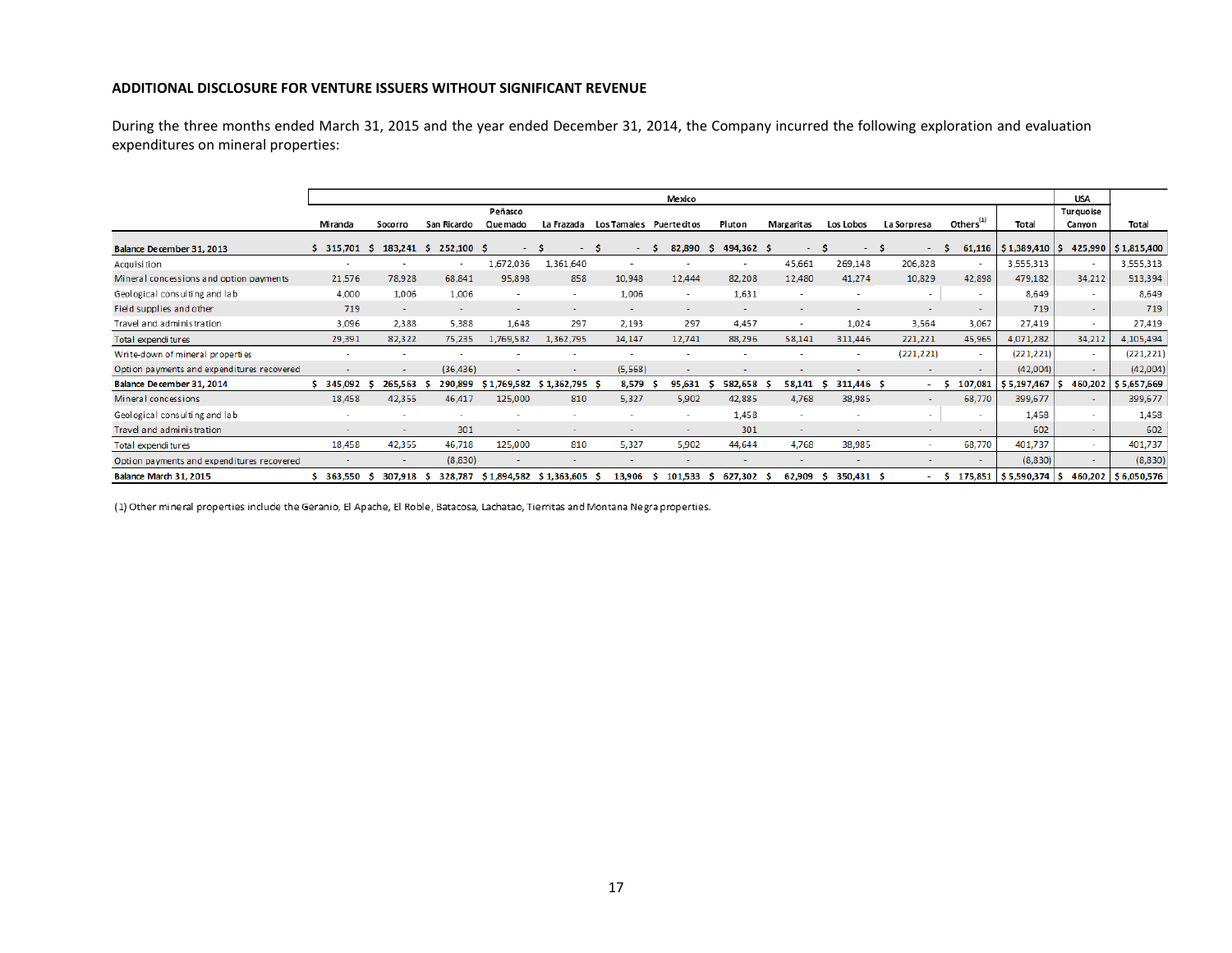## **ADDITIONAL DISCLOSURE FOR VENTURE ISSUERS WITHOUT SIGNIFICANT REVENUE**

During the three months ended March 31, 2015 and the year ended December 31, 2014, the Company incurred the following exploration and evaluation expenditures on mineral properties:

|                                             |                          |                          |                          |               |                          |                         | Mexico                   |                          |                          |                          |                          |                          |                                          | <b>USA</b>               |                       |
|---------------------------------------------|--------------------------|--------------------------|--------------------------|---------------|--------------------------|-------------------------|--------------------------|--------------------------|--------------------------|--------------------------|--------------------------|--------------------------|------------------------------------------|--------------------------|-----------------------|
|                                             |                          |                          |                          | Peñasco       |                          |                         |                          |                          |                          |                          |                          |                          |                                          | Turquoise                |                       |
|                                             | Miranda                  | Socorro                  | San Ricardo              | Quemado       | La Frazada               | Los Tamales Puertecitos |                          | Pluton                   | <b>Margaritas</b>        | Los Lobos                | La Sorpresa              | Others <sup>(1)</sup>    | Total                                    | Canyon                   | Total                 |
| Balance December 31, 2013                   | 315,701                  | 183,241<br>-S            | 252,100<br>-S            | - 5<br>$\sim$ | - 5<br>$\sim$            | -S<br>$\sim$            | 82,890<br>-S             | 494,362 \$<br>-S.        | $\sim$ $-$               | -S<br>$\sim$ $-$         | - S<br>$\sim$ 10 $\pm$   | - S                      | 61,116   $$1,389,410$   $$$              |                          | 425,990   \$1,815,400 |
| Acquisition                                 | $\overline{\phantom{a}}$ |                          |                          | 1,672,036     | 1,361,640                |                         |                          |                          | 45,661                   | 269,148                  | 206,828                  |                          | 3,555,313                                |                          | 3,555,313             |
| Mineral concessions and option payments     | 21,576                   | 78,928                   | 68,841                   | 95,898        | 858                      | 10,948                  | 12,444                   | 82,208                   | 12,480                   | 41,274                   | 10,829                   | 42,898                   | 479,182                                  | 34,212                   | 513,394               |
| Geological consulting and lab               | 4,000                    | 1,006                    | 1,006                    |               | $\overline{\phantom{a}}$ | 1,006                   | $\sim$                   | 1,631                    |                          |                          | $\sim$                   | $\overline{\phantom{a}}$ | 8,649                                    | $\overline{\phantom{a}}$ | 8,649                 |
| Field supplies and other                    | 719                      | ۰                        |                          |               |                          |                         | $\overline{\phantom{a}}$ | $\overline{\phantom{0}}$ | $\overline{\phantom{0}}$ | $\overline{\phantom{a}}$ | $\overline{\phantom{a}}$ | $\overline{\phantom{a}}$ | 719                                      | $\sim$                   | 719                   |
| Travel and administration                   | 3,096                    | 2,388                    | 5,388                    | 1,648         | 297                      | 2,193                   | 297                      | 4,457                    | ٠                        | 1,024                    | 3,564                    | 3,067                    | 27,419                                   | $\overline{\phantom{a}}$ | 27,419                |
| Total expenditures                          | 29,391                   | 82,322                   | 75,235                   | 1,769,582     | 1,362,795                | 14,147                  | 12,741                   | 88,296                   | 58,141                   | 311,446                  | 221,221                  | 45,965                   | 4,071,282                                | 34,212                   | 4,105,494             |
| Write-down of mineral properties            |                          |                          |                          |               |                          |                         |                          |                          |                          |                          | (221, 221)               | $\sim$                   | (221, 221)                               | ۰                        | (221, 221)            |
| Opti on payments and expenditures recovered |                          | $\overline{\phantom{0}}$ | (36, 436)                |               |                          | (5,568)                 |                          | $\overline{\phantom{a}}$ |                          |                          | $\sim$                   | $\sim$                   | (42,004)                                 | $\overline{\phantom{a}}$ | (42,004)              |
| Balance December 31, 2014                   | 345,092                  | 265,563                  | 290,899                  | \$1,769,582   | $$1,362,795$ \$          | 8,579                   | 95,631<br>-5             | 582,658<br>-S            | 58,141<br>-5             | 311,446 \$<br>-S         | - 1                      | 107,081                  | $$5,197,467$ $$$                         | 460,202                  | \$5,657,669           |
| Mineral concessions                         | 18,458                   | 42,355                   | 46,417                   | 125,000       | 810                      | 5,327                   | 5,902                    | 42,885                   | 4,768                    | 38,985                   | $\sim$                   | 68,770                   | 399,677                                  |                          | 399,677               |
| Geological consulting and lab               | $\overline{\phantom{a}}$ | $\overline{\phantom{a}}$ | $\overline{\phantom{a}}$ |               |                          |                         |                          | 1,458                    | $\overline{\phantom{a}}$ |                          |                          |                          | 1,458                                    |                          | 1,458                 |
| Travel and administration                   |                          | $\overline{\phantom{a}}$ | 301                      |               |                          |                         |                          | 301                      | $\sim$                   |                          |                          |                          | 602                                      | $\sim$                   | 602                   |
| Total expenditures                          | 18,458                   | 42,355                   | 46,718                   | 125,000       | 810                      | 5,327                   | 5,902                    | 44,644                   | 4,768                    | 38,985                   |                          | 68,770                   | 401,737                                  | $\sim$                   | 401,737               |
| Opti on payments and expenditures recovered |                          | $\overline{\phantom{a}}$ | (8,830)                  |               |                          |                         |                          | $\sim$                   |                          | $\overline{\phantom{a}}$ |                          |                          | (8,830)                                  | $\overline{\phantom{a}}$ | (8,830)               |
| Balance March 31, 2015                      | 363,550                  | 307.918<br>-5            | 328,787                  | \$1,894,582   | $$1,363,605$ \$          | 13,906                  | 101.533<br>s             | 627,302 \$<br>s.         | 62,909                   | 350,431 \$<br>-S         | . .                      |                          | $5 \quad 175,851 \mid 55,590,374 \mid 5$ |                          | 460,202 \$6,050,576   |

(1) Other mineral properties include the Geranio, El Apache, El Roble, Batacosa, Lachatao, Tierritas and Montana Negra properties.